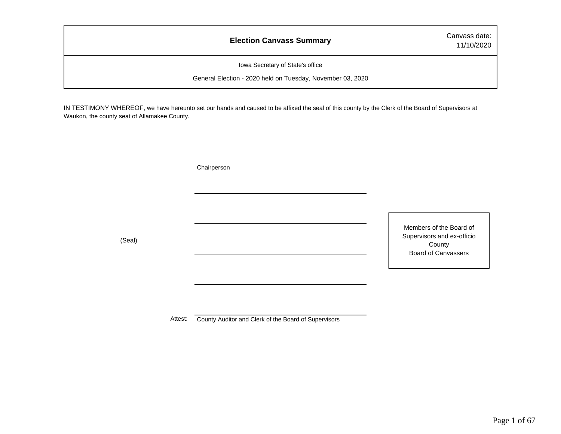### **Election Canvass Summary** Canvass date:

11/10/2020

Iowa Secretary of State's office

General Election - 2020 held on Tuesday, November 03, 2020

IN TESTIMONY WHEREOF, we have hereunto set our hands and caused to be affixed the seal of this county by the Clerk of the Board of Supervisors at Waukon, the county seat of Allamakee County.

**Chairperson** 

(Seal)

Members of the Board of Supervisors and ex-officio County Board of Canvassers

Attest: County Auditor and Clerk of the Board of Supervisors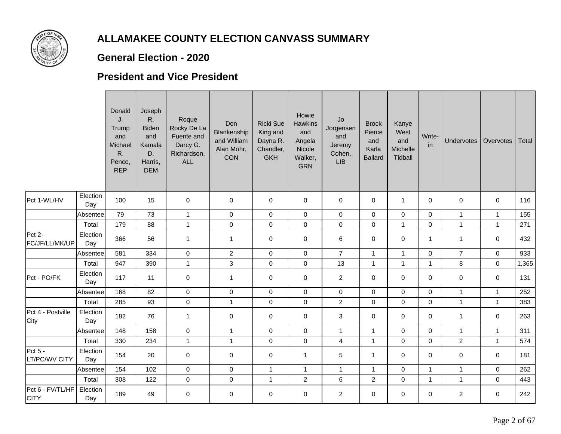

### **General Election - 2020**

#### **President and Vice President**

|                                 |                 | Donald<br>J.<br>Trump<br>and<br>Michael<br>R.<br>Pence<br><b>REP</b> | Joseph<br>R.<br><b>Biden</b><br>and<br>Kamala<br>D.<br>Harris,<br><b>DEM</b> | Roque<br>Rocky De La<br>Fuente and<br>Darcy G.<br>Richardson,<br><b>ALL</b> | Don<br>Blankenship<br>and William<br>Alan Mohr,<br>CON | <b>Ricki Sue</b><br>King and<br>Dayna R.<br>Chandler,<br><b>GKH</b> | Howie<br><b>Hawkins</b><br>and<br>Angela<br>Nicole<br>Walker,<br><b>GRN</b> | Jo<br>Jorgensen<br>and<br>Jeremy<br>Cohen,<br>LIB | <b>Brock</b><br>Pierce<br>and<br>Karla<br><b>Ballard</b> | Kanye<br>West<br>and<br>Michelle<br>Tidball | Write-<br>in | <b>Undervotes</b> | Overvotes    | Total |
|---------------------------------|-----------------|----------------------------------------------------------------------|------------------------------------------------------------------------------|-----------------------------------------------------------------------------|--------------------------------------------------------|---------------------------------------------------------------------|-----------------------------------------------------------------------------|---------------------------------------------------|----------------------------------------------------------|---------------------------------------------|--------------|-------------------|--------------|-------|
| Pct 1-WL/HV                     | Election<br>Day | 100                                                                  | 15                                                                           | $\mathbf 0$                                                                 | 0                                                      | $\mathbf 0$                                                         | 0                                                                           | 0                                                 | 0                                                        | $\mathbf{1}$                                | $\mathbf 0$  | 0                 | $\mathbf 0$  | 116   |
|                                 | Absentee        | 79                                                                   | 73                                                                           | $\mathbf{1}$                                                                | $\mathsf{O}$                                           | $\mathbf 0$                                                         | $\mathbf 0$                                                                 | $\mathbf 0$                                       | $\mathbf 0$                                              | $\mathbf 0$                                 | $\mathbf 0$  | $\mathbf{1}$      | $\mathbf{1}$ | 155   |
|                                 | Total           | 179                                                                  | 88                                                                           | $\mathbf{1}$                                                                | $\mathsf{O}\xspace$                                    | $\pmb{0}$                                                           | $\pmb{0}$                                                                   | $\pmb{0}$                                         | $\mathbf 0$                                              | $\mathbf{1}$                                | $\mathbf 0$  | $\mathbf{1}$      | $\mathbf{1}$ | 271   |
| Pct 2-<br>FC/JF/LL/MK/UP        | Election<br>Day | 366                                                                  | 56                                                                           | $\mathbf{1}$                                                                | $\mathbf{1}$                                           | $\mathbf 0$                                                         | $\mathbf 0$                                                                 | $\,6\,$                                           | $\mathbf 0$                                              | $\mathbf 0$                                 | $\mathbf{1}$ | $\mathbf{1}$      | $\mathbf 0$  | 432   |
|                                 | Absentee        | 581                                                                  | 334                                                                          | $\mathbf 0$                                                                 | $\overline{a}$                                         | $\mathbf 0$                                                         | $\mathbf 0$                                                                 | $\overline{7}$                                    | $\mathbf{1}$                                             | $\mathbf{1}$                                | $\mathbf 0$  | $\overline{7}$    | $\mathbf 0$  | 933   |
|                                 | Total           | 947                                                                  | 390                                                                          | $\mathbf{1}$                                                                | 3                                                      | $\mathbf 0$                                                         | $\mathbf 0$                                                                 | 13                                                | $\mathbf{1}$                                             | $\mathbf{1}$                                | $\mathbf{1}$ | 8                 | $\mathbf 0$  | 1,365 |
| Pct - PO/FK                     | Election<br>Day | 117                                                                  | 11                                                                           | $\mathbf 0$                                                                 | $\mathbf{1}$                                           | 0                                                                   | 0                                                                           | $\overline{2}$                                    | 0                                                        | $\mathbf 0$                                 | $\mathbf 0$  | 0                 | 0            | 131   |
|                                 | Absentee        | 168                                                                  | 82                                                                           | $\mathbf 0$                                                                 | $\overline{0}$                                         | $\mathbf 0$                                                         | $\mathbf 0$                                                                 | $\mathsf{O}\xspace$                               | $\mathbf 0$                                              | $\mathbf 0$                                 | $\mathbf 0$  | $\mathbf{1}$      | $\mathbf{1}$ | 252   |
|                                 | Total           | 285                                                                  | 93                                                                           | $\pmb{0}$                                                                   | $\mathbf{1}$                                           | 0                                                                   | $\mathbf 0$                                                                 | $\overline{2}$                                    | $\mathbf 0$                                              | $\mathbf 0$                                 | $\mathbf 0$  | $\mathbf{1}$      | $\mathbf{1}$ | 383   |
| Pct 4 - Postville<br>City       | Election<br>Day | 182                                                                  | 76                                                                           | $\mathbf{1}$                                                                | 0                                                      | $\mathbf 0$                                                         | $\mathbf 0$                                                                 | $\sqrt{3}$                                        | $\mathbf 0$                                              | $\mathbf 0$                                 | $\mathbf 0$  | $\mathbf{1}$      | $\mathbf 0$  | 263   |
|                                 | Absentee        | 148                                                                  | 158                                                                          | $\mathbf 0$                                                                 | $\mathbf{1}$                                           | $\mathbf 0$                                                         | $\mathbf 0$                                                                 | $\mathbf{1}$                                      | $\mathbf{1}$                                             | $\Omega$                                    | $\Omega$     | $\mathbf{1}$      | $\mathbf{1}$ | 311   |
|                                 | Total           | 330                                                                  | 234                                                                          | $\mathbf{1}$                                                                | $\mathbf{1}$                                           | $\mathbf 0$                                                         | $\pmb{0}$                                                                   | $\overline{\mathbf{4}}$                           | $\mathbf{1}$                                             | $\mathbf 0$                                 | $\mathbf 0$  | $\overline{2}$    | $\mathbf{1}$ | 574   |
| Pct $5 -$<br>LT/PC/WV CITY      | Election<br>Day | 154                                                                  | 20                                                                           | $\mathbf 0$                                                                 | 0                                                      | $\mathbf 0$                                                         | $\mathbf{1}$                                                                | 5                                                 | $\mathbf{1}$                                             | $\Omega$                                    | $\mathbf{0}$ | $\mathbf 0$       | $\mathbf 0$  | 181   |
|                                 | Absentee        | 154                                                                  | 102                                                                          | $\pmb{0}$                                                                   | $\pmb{0}$                                              | $\mathbf{1}$                                                        | $\mathbf{1}$                                                                | $\mathbf{1}$                                      | $\mathbf{1}$                                             | $\mathbf 0$                                 | $\mathbf{1}$ | $\mathbf{1}$      | $\mathbf 0$  | 262   |
|                                 | Total           | 308                                                                  | 122                                                                          | $\mathbf 0$                                                                 | $\mathbf 0$                                            | $\mathbf{1}$                                                        | $\overline{2}$                                                              | $\,6\,$                                           | $\overline{2}$                                           | $\Omega$                                    | $\mathbf{1}$ | $\mathbf{1}$      | $\Omega$     | 443   |
| Pct 6 - FV/TL/HF<br><b>CITY</b> | Election<br>Day | 189                                                                  | 49                                                                           | $\mathbf 0$                                                                 | 0                                                      | $\mathbf 0$                                                         | $\mathbf 0$                                                                 | $\overline{2}$                                    | $\mathbf 0$                                              | $\mathbf 0$                                 | 0            | $\overline{2}$    | $\mathbf 0$  | 242   |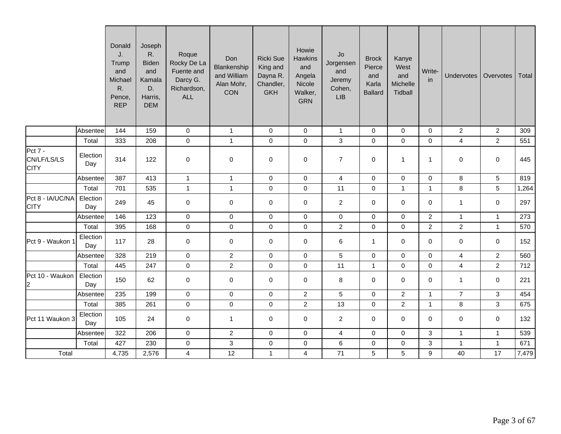|                                              |                 | Donald<br>J.<br>Trump<br>and<br>Michael<br>R.<br>Pence,<br><b>REP</b> | Joseph<br>R.<br><b>Biden</b><br>and<br>Kamala<br>D.<br>Harris,<br><b>DEM</b> | Roque<br>Rocky De La<br>Fuente and<br>Darcy G.<br>Richardson,<br><b>ALL</b> | Don<br>Blankenship<br>and William<br>Alan Mohr,<br><b>CON</b> | <b>Ricki Sue</b><br>King and<br>Dayna R.<br>Chandler,<br><b>GKH</b> | Howie<br><b>Hawkins</b><br>and<br>Angela<br>Nicole<br>Walker,<br><b>GRN</b> | ${\sf Jo}$<br>Jorgensen<br>and<br>Jeremy<br>Cohen,<br>LIB | <b>Brock</b><br>Pierce<br>and<br>Karla<br><b>Ballard</b> | Kanye<br>West<br>and<br>Michelle<br>Tidball | Write-<br>in        | <b>Undervotes</b>       | Overvotes      | Total |
|----------------------------------------------|-----------------|-----------------------------------------------------------------------|------------------------------------------------------------------------------|-----------------------------------------------------------------------------|---------------------------------------------------------------|---------------------------------------------------------------------|-----------------------------------------------------------------------------|-----------------------------------------------------------|----------------------------------------------------------|---------------------------------------------|---------------------|-------------------------|----------------|-------|
|                                              | Absentee        | 144                                                                   | 159                                                                          | $\mathbf 0$                                                                 | $\mathbf{1}$                                                  | 0                                                                   | $\mathbf 0$                                                                 | $\mathbf{1}$                                              | $\mathbf 0$                                              | $\mathbf 0$                                 | $\mathbf 0$         | $\overline{2}$          | $\overline{2}$ | 309   |
|                                              | Total           | 333                                                                   | 208                                                                          | $\pmb{0}$                                                                   | $\mathbf{1}$                                                  | $\pmb{0}$                                                           | $\mathbf 0$                                                                 | $\ensuremath{\mathsf{3}}$                                 | $\mathbf 0$                                              | $\mathbf 0$                                 | $\mathbf 0$         | $\overline{\mathbf{4}}$ | $\overline{2}$ | 551   |
| <b>Pct 7 -</b><br>CN/LF/LS/LS<br><b>CITY</b> | Election<br>Day | 314                                                                   | 122                                                                          | $\mathbf 0$                                                                 | 0                                                             | $\mathbf 0$                                                         | $\mathbf 0$                                                                 | $\overline{7}$                                            | $\mathbf 0$                                              | $\mathbf{1}$                                | $\mathbf{1}$        | 0                       | 0              | 445   |
|                                              | Absentee        | 387                                                                   | 413                                                                          | $\overline{1}$                                                              | $\mathbf{1}$                                                  | $\mathbf 0$                                                         | $\mathsf{O}\xspace$                                                         | $\overline{4}$                                            | $\mathbf 0$                                              | $\mathbf 0$                                 | $\mathbf 0$         | 8                       | $\sqrt{5}$     | 819   |
|                                              | Total           | 701                                                                   | 535                                                                          | $\mathbf{1}$                                                                | $\mathbf{1}$                                                  | $\pmb{0}$                                                           | $\mathbf 0$                                                                 | 11                                                        | $\mathbf 0$                                              | $\mathbf{1}$                                | $\mathbf{1}$        | 8                       | 5              | 1,264 |
| Pct 8 - IA/UC/NA<br><b>CITY</b>              | Election<br>Day | 249                                                                   | 45                                                                           | $\mathbf 0$                                                                 | $\mathbf 0$                                                   | $\mathbf 0$                                                         | $\mathbf 0$                                                                 | $\overline{c}$                                            | $\mathbf 0$                                              | 0                                           | $\mathbf 0$         | $\mathbf{1}$            | $\mathbf 0$    | 297   |
|                                              | Absentee        | 146                                                                   | 123                                                                          | $\mathbf 0$                                                                 | $\mathsf 0$                                                   | $\pmb{0}$                                                           | $\mathbf 0$                                                                 | $\pmb{0}$                                                 | $\mathbf 0$                                              | $\mathbf 0$                                 | $\overline{c}$      | $\mathbf{1}$            | $\mathbf{1}$   | 273   |
|                                              | Total           | 395                                                                   | 168                                                                          | $\mathbf 0$                                                                 | $\mathsf 0$                                                   | $\pmb{0}$                                                           | $\pmb{0}$                                                                   | $\overline{c}$                                            | $\pmb{0}$                                                | $\pmb{0}$                                   | $\overline{2}$      | $\overline{a}$          | $\mathbf{1}$   | 570   |
| Pct 9 - Waukon 1                             | Election<br>Day | 117                                                                   | 28                                                                           | $\mathbf 0$                                                                 | $\mathsf{O}$                                                  | $\pmb{0}$                                                           | 0                                                                           | $\,6\,$                                                   | $\mathbf 1$                                              | $\mathbf 0$                                 | $\mathbf 0$         | $\mathbf 0$             | $\mathbf 0$    | 152   |
|                                              | Absentee        | 328                                                                   | 219                                                                          | $\mathbf 0$                                                                 | $\overline{c}$                                                | $\pmb{0}$                                                           | $\mathsf{O}\xspace$                                                         | $\sqrt{5}$                                                | $\mathsf 0$                                              | 0                                           | $\mathsf{O}\xspace$ | $\overline{\mathbf{4}}$ | $\overline{2}$ | 560   |
|                                              | Total           | 445                                                                   | 247                                                                          | $\mathbf 0$                                                                 | $\overline{2}$                                                | $\pmb{0}$                                                           | $\pmb{0}$                                                                   | 11                                                        | $\mathbf{1}$                                             | $\mathbf 0$                                 | $\mathbf 0$         | $\overline{\mathbf{4}}$ | $\overline{2}$ | 712   |
| Pct 10 - Waukon<br>$\overline{a}$            | Election<br>Day | 150                                                                   | 62                                                                           | $\mathbf 0$                                                                 | $\mathsf{O}$                                                  | $\mathbf 0$                                                         | $\mathbf 0$                                                                 | $\bf 8$                                                   | $\mathbf 0$                                              | $\mathbf 0$                                 | 0                   | $\mathbf{1}$            | 0              | 221   |
|                                              | Absentee        | 235                                                                   | 199                                                                          | $\mathbf 0$                                                                 | $\mathsf 0$                                                   | $\pmb{0}$                                                           | $\boldsymbol{2}$                                                            | $\sqrt{5}$                                                | $\mathbf 0$                                              | $\overline{2}$                              | $\mathbf{1}$        | $\overline{7}$          | $\mathbf{3}$   | 454   |
|                                              | Total           | 385                                                                   | 261                                                                          | $\mathbf 0$                                                                 | $\mathbf 0$                                                   | $\pmb{0}$                                                           | $\overline{2}$                                                              | 13                                                        | $\mathbf 0$                                              | $\overline{2}$                              | $\mathbf{1}$        | 8                       | $\overline{3}$ | 675   |
| Pct 11 Waukon 3                              | Election<br>Day | 105                                                                   | 24                                                                           | $\mathbf 0$                                                                 | $\mathbf{1}$                                                  | $\pmb{0}$                                                           | 0                                                                           | $\overline{2}$                                            | $\mathbf 0$                                              | 0                                           | 0                   | 0                       | 0              | 132   |
|                                              | Absentee        | 322                                                                   | 206                                                                          | $\mathsf{O}\xspace$                                                         | $\overline{2}$                                                | $\pmb{0}$                                                           | $\mathbf 0$                                                                 | $\overline{4}$                                            | $\mathbf 0$                                              | $\mathbf 0$                                 | 3                   | $\mathbf{1}$            | $\mathbf{1}$   | 539   |
|                                              | Total           | 427                                                                   | 230                                                                          | $\mathbf 0$                                                                 | $\mathbf{3}$                                                  | $\pmb{0}$                                                           | $\pmb{0}$                                                                   | $\,6\,$                                                   | $\mathbf 0$                                              | 0                                           | $\mathsf 3$         | $\mathbf{1}$            | $\mathbf{1}$   | 671   |
| Total                                        |                 | 4,735                                                                 | 2,576                                                                        | 4                                                                           | 12                                                            | $\mathbf{1}$                                                        | 4                                                                           | 71                                                        | 5                                                        | 5                                           | $\boldsymbol{9}$    | 40                      | 17             | 7,479 |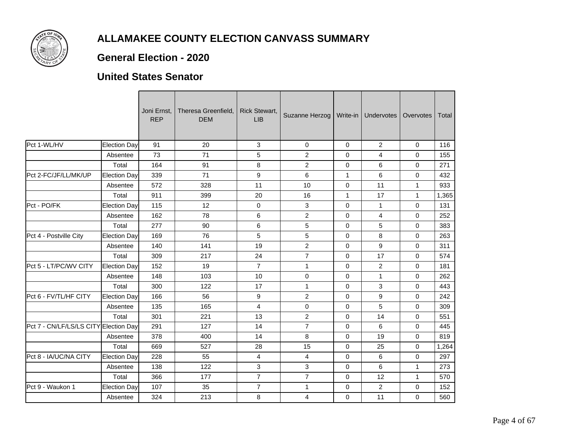

#### **General Election - 2020**

#### **United States Senator**

|                                       |              | Joni Ernst,<br><b>REP</b> | Theresa Greenfield,<br><b>DEM</b> | <b>Rick Stewart,</b><br><b>LIB</b> | Suzanne Herzog |              | Write-in   Undervotes | Overvotes    | Total |
|---------------------------------------|--------------|---------------------------|-----------------------------------|------------------------------------|----------------|--------------|-----------------------|--------------|-------|
| Pct 1-WL/HV                           | Election Day | 91                        | 20                                | 3                                  | $\mathbf 0$    | $\mathbf 0$  | $\overline{2}$        | $\mathbf 0$  | 116   |
|                                       | Absentee     | 73                        | 71                                | 5                                  | $\overline{2}$ | $\Omega$     | 4                     | $\mathbf 0$  | 155   |
|                                       | Total        | 164                       | 91                                | 8                                  | 2              | $\Omega$     | 6                     | $\Omega$     | 271   |
| Pct 2-FC/JF/LL/MK/UP                  | Election Day | 339                       | 71                                | $\boldsymbol{9}$                   | 6              | $\mathbf{1}$ | 6                     | 0            | 432   |
|                                       | Absentee     | 572                       | 328                               | 11                                 | 10             | $\mathbf 0$  | 11                    | $\mathbf{1}$ | 933   |
|                                       | Total        | 911                       | 399                               | 20                                 | 16             | $\mathbf{1}$ | 17                    | $\mathbf{1}$ | 1,365 |
| Pct - PO/FK                           | Election Day | 115                       | 12                                | $\mathbf 0$                        | 3              | $\mathbf 0$  | $\mathbf{1}$          | 0            | 131   |
|                                       | Absentee     | 162                       | 78                                | 6                                  | $\overline{2}$ | $\Omega$     | $\overline{4}$        | $\mathbf 0$  | 252   |
|                                       | Total        | 277                       | 90                                | 6                                  | 5              | 0            | 5                     | 0            | 383   |
| Pct 4 - Postville City                | Election Day | 169                       | 76                                | 5                                  | 5              | $\mathbf 0$  | 8                     | $\mathbf 0$  | 263   |
|                                       | Absentee     | 140                       | 141                               | 19                                 | $\overline{2}$ | $\mathbf 0$  | 9                     | $\mathbf 0$  | 311   |
|                                       | Total        | 309                       | 217                               | 24                                 | $\overline{7}$ | 0            | 17                    | 0            | 574   |
| Pct 5 - LT/PC/WV CITY                 | Election Day | 152                       | 19                                | $\overline{7}$                     | $\mathbf{1}$   | $\mathbf 0$  | $\overline{a}$        | 0            | 181   |
|                                       | Absentee     | 148                       | 103                               | 10                                 | $\mathbf 0$    | $\mathbf 0$  | $\mathbf{1}$          | 0            | 262   |
|                                       | Total        | 300                       | 122                               | 17                                 | $\mathbf{1}$   | $\Omega$     | 3                     | $\Omega$     | 443   |
| Pct 6 - FV/TL/HF CITY                 | Election Day | 166                       | 56                                | 9                                  | $\overline{2}$ | $\mathbf 0$  | 9                     | $\mathbf 0$  | 242   |
|                                       | Absentee     | 135                       | 165                               | 4                                  | $\mathbf 0$    | $\mathbf 0$  | 5                     | 0            | 309   |
|                                       | Total        | 301                       | 221                               | 13                                 | $\overline{2}$ | $\mathbf 0$  | 14                    | $\mathbf 0$  | 551   |
| Pct 7 - CN/LF/LS/LS CITY Election Day |              | 291                       | 127                               | 14                                 | $\overline{7}$ | 0            | 6                     | 0            | 445   |
|                                       | Absentee     | 378                       | 400                               | 14                                 | 8              | $\Omega$     | 19                    | $\mathbf 0$  | 819   |
|                                       | Total        | 669                       | 527                               | 28                                 | 15             | $\mathbf 0$  | 25                    | $\mathbf 0$  | 1,264 |
| Pct 8 - IA/UC/NA CITY                 | Election Day | 228                       | 55                                | 4                                  | 4              | $\Omega$     | 6                     | $\mathbf 0$  | 297   |
|                                       | Absentee     | 138                       | 122                               | 3                                  | 3              | 0            | 6                     | $\mathbf{1}$ | 273   |
|                                       | Total        | 366                       | 177                               | $\overline{7}$                     | $\overline{7}$ | $\mathbf 0$  | 12                    | $\mathbf{1}$ | 570   |
| Pct 9 - Waukon 1                      | Election Day | 107                       | 35                                | $\overline{7}$                     | $\mathbf{1}$   | 0            | $\overline{2}$        | 0            | 152   |
|                                       | Absentee     | 324                       | 213                               | 8                                  | 4              | 0            | 11                    | $\mathbf 0$  | 560   |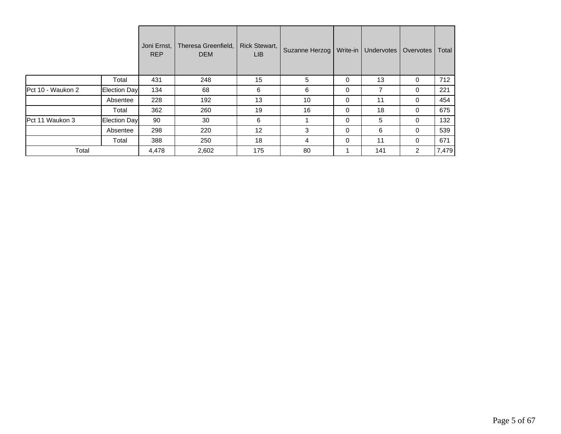|                          |              | Joni Ernst,<br><b>REP</b> | Theresa Greenfield,<br><b>DEM</b> | Rick Stewart,<br>LIB. | Suzanne Herzog   Write-in |   | Undervotes | Overvotes      | Total |
|--------------------------|--------------|---------------------------|-----------------------------------|-----------------------|---------------------------|---|------------|----------------|-------|
|                          | Total        | 431                       | 248                               | 15                    | 5                         | 0 | 13         | 0              | 712   |
| <b>Pct 10 - Waukon 2</b> | Election Day | 134                       | 68                                | 6                     | 6                         | 0 | ⇁          | 0              | 221   |
|                          | Absentee     | 228                       | 192                               | 13                    | 10                        | 0 | 11         | 0              | 454   |
|                          | Total        | 362                       | 260                               | 19                    | 16                        | 0 | 18         | 0              | 675   |
| Pct 11 Waukon 3          | Election Day | 90                        | 30                                | 6                     |                           | 0 | 5          | 0              | 132   |
|                          | Absentee     | 298                       | 220                               | 12                    | 3                         | 0 | 6          | 0              | 539   |
|                          | Total        | 388                       | 250                               | 18                    | 4                         | 0 | 11         | 0              | 671   |
| Total                    |              | 4,478                     | 2,602                             | 175                   | 80                        |   | 141        | $\overline{2}$ | 7,479 |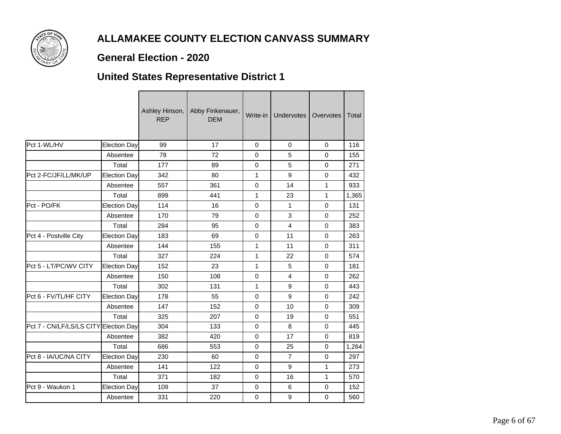

#### **General Election - 2020**

## **United States Representative District 1**

|                                       |                     | Ashley Hinson,<br><b>REP</b> | Abby Finkenauer,<br><b>DEM</b> | Write-in     | Undervotes              | Overvotes    | Total |
|---------------------------------------|---------------------|------------------------------|--------------------------------|--------------|-------------------------|--------------|-------|
| Pct 1-WL/HV                           | <b>Election Day</b> | 99                           | 17                             | $\Omega$     | $\Omega$                | $\Omega$     | 116   |
|                                       | Absentee            | 78                           | 72                             | $\Omega$     | 5                       | $\mathbf 0$  | 155   |
|                                       | Total               | 177                          | 89                             | $\mathbf 0$  | 5                       | $\Omega$     | 271   |
| Pct 2-FC/JF/LL/MK/UP                  | <b>Election Day</b> | 342                          | 80                             | 1            | $\boldsymbol{9}$        | 0            | 432   |
|                                       | Absentee            | 557                          | 361                            | $\mathbf 0$  | 14                      | $\mathbf{1}$ | 933   |
|                                       | Total               | 899                          | 441                            | 1            | 23                      | $\mathbf{1}$ | 1,365 |
| Pct - PO/FK                           | <b>Election Day</b> | 114                          | 16                             | $\Omega$     | 1                       | $\mathbf 0$  | 131   |
|                                       | Absentee            | 170                          | 79                             | $\Omega$     | 3                       | $\Omega$     | 252   |
|                                       | Total               | 284                          | 95                             | $\mathbf 0$  | $\overline{\mathbf{4}}$ | $\mathbf 0$  | 383   |
| Pct 4 - Postville City                | <b>Election Day</b> | 183                          | 69                             | $\mathbf 0$  | 11                      | $\mathbf 0$  | 263   |
|                                       | Absentee            | 144                          | 155                            | 1            | 11                      | $\mathbf 0$  | 311   |
|                                       | Total               | 327                          | 224                            | 1            | 22                      | $\mathbf 0$  | 574   |
| Pct 5 - LT/PC/WV CITY                 | <b>Election Day</b> | 152                          | 23                             | 1            | 5                       | $\mathbf 0$  | 181   |
|                                       | Absentee            | 150                          | 108                            | $\mathbf 0$  | 4                       | 0            | 262   |
|                                       | Total               | 302                          | 131                            | $\mathbf{1}$ | 9                       | $\mathbf 0$  | 443   |
| Pct 6 - FV/TL/HF CITY                 | <b>Election Day</b> | 178                          | 55                             | $\mathbf 0$  | 9                       | $\mathbf 0$  | 242   |
|                                       | Absentee            | 147                          | 152                            | $\mathbf 0$  | 10                      | $\mathbf 0$  | 309   |
|                                       | Total               | 325                          | 207                            | $\Omega$     | 19                      | $\mathbf 0$  | 551   |
| Pct 7 - CN/LF/LS/LS CITY Election Day |                     | 304                          | 133                            | $\mathbf 0$  | 8                       | $\mathbf 0$  | 445   |
|                                       | Absentee            | 382                          | 420                            | $\mathbf 0$  | 17                      | $\mathbf 0$  | 819   |
|                                       | Total               | 686                          | 553                            | $\mathbf 0$  | 25                      | $\mathbf 0$  | 1,264 |
| Pct 8 - IA/UC/NA CITY                 | <b>Election Day</b> | 230                          | 60                             | $\mathbf 0$  | $\overline{7}$          | $\mathbf 0$  | 297   |
|                                       | Absentee            | 141                          | 122                            | $\mathbf 0$  | 9                       | $\mathbf{1}$ | 273   |
|                                       | Total               | 371                          | 182                            | $\mathbf 0$  | 16                      | $\mathbf{1}$ | 570   |
| Pct 9 - Waukon 1                      | <b>Election Day</b> | 109                          | 37                             | $\pmb{0}$    | 6                       | $\mathbf 0$  | 152   |
|                                       | Absentee            | 331                          | 220                            | $\mathbf 0$  | $\mathsf g$             | $\mathbf 0$  | 560   |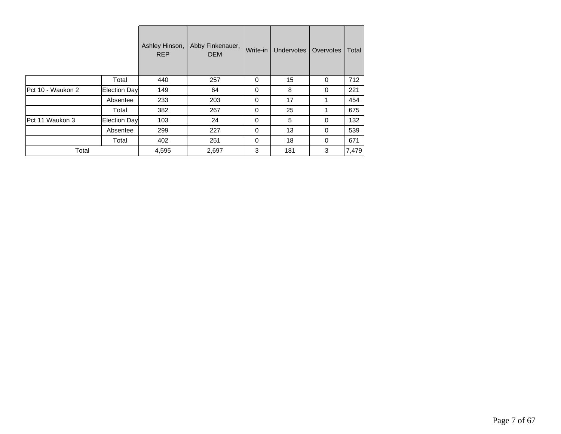|                   |                      | Ashley Hinson,<br><b>REP</b> | Abby Finkenauer,<br><b>DEM</b> | Write-in | <b>Undervotes</b> | Overvotes | Total |
|-------------------|----------------------|------------------------------|--------------------------------|----------|-------------------|-----------|-------|
|                   | Total                | 440                          | 257                            | 0        | 15                | 0         | 712   |
| Pct 10 - Waukon 2 | <b>Election Dayl</b> | 149                          | 64                             | $\Omega$ | 8                 | 0         | 221   |
|                   | Absentee             | 233                          | 203                            | $\Omega$ | 17                |           | 454   |
|                   | Total                | 382                          | 267                            | $\Omega$ | 25                |           | 675   |
| Pct 11 Waukon 3   | Election Day         | 103                          | 24                             | $\Omega$ | 5                 | $\Omega$  | 132   |
|                   | Absentee             | 299                          | 227                            | $\Omega$ | 13                | 0         | 539   |
|                   | Total                | 402                          | 251                            | $\Omega$ | 18                | 0         | 671   |
| Total             |                      | 4,595                        | 2,697                          | 3        | 181               | 3         | 7,479 |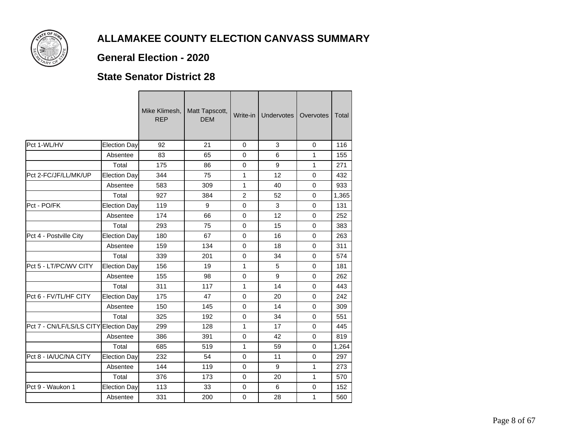

### **General Election - 2020**

#### **State Senator District 28**

|                                       |                     | Mike Klimesh,<br><b>REP</b> | Matt Tapscott,<br><b>DEM</b> | Write-in       | <b>Undervotes</b> | Overvotes    | Total |
|---------------------------------------|---------------------|-----------------------------|------------------------------|----------------|-------------------|--------------|-------|
| Pct 1-WL/HV                           | <b>Election Day</b> | 92                          | 21                           | $\mathbf 0$    | 3                 | $\Omega$     | 116   |
|                                       | Absentee            | 83                          | 65                           | 0              | 6                 | 1            | 155   |
|                                       | Total               | 175                         | 86                           | $\mathbf 0$    | 9                 | $\mathbf{1}$ | 271   |
| Pct 2-FC/JF/LL/MK/UP                  | <b>Election Day</b> | 344                         | 75                           | $\mathbf{1}$   | 12                | $\mathbf 0$  | 432   |
|                                       | Absentee            | 583                         | 309                          | 1              | 40                | $\mathbf 0$  | 933   |
|                                       | Total               | 927                         | 384                          | $\overline{2}$ | 52                | $\Omega$     | 1,365 |
| Pct - PO/FK                           | <b>Election Day</b> | 119                         | 9                            | 0              | 3                 | $\Omega$     | 131   |
|                                       | Absentee            | 174                         | 66                           | $\Omega$       | 12                | $\Omega$     | 252   |
|                                       | Total               | 293                         | 75                           | 0              | 15                | 0            | 383   |
| Pct 4 - Postville City                | <b>Election Day</b> | 180                         | 67                           | $\Omega$       | 16                | $\Omega$     | 263   |
|                                       | Absentee            | 159                         | 134                          | $\Omega$       | 18                | $\Omega$     | 311   |
|                                       | Total               | 339                         | 201                          | $\mathbf 0$    | 34                | $\mathbf 0$  | 574   |
| Pct 5 - LT/PC/WV CITY                 | <b>Election Day</b> | 156                         | 19                           | 1              | 5                 | $\Omega$     | 181   |
|                                       | Absentee            | 155                         | 98                           | $\mathbf 0$    | 9                 | $\mathbf 0$  | 262   |
|                                       | Total               | 311                         | 117                          | $\mathbf{1}$   | 14                | $\Omega$     | 443   |
| Pct 6 - FV/TL/HF CITY                 | <b>Election Day</b> | 175                         | 47                           | $\mathbf 0$    | 20                | $\Omega$     | 242   |
|                                       | Absentee            | 150                         | 145                          | $\mathbf 0$    | 14                | $\mathbf 0$  | 309   |
|                                       | Total               | 325                         | 192                          | 0              | 34                | $\mathbf 0$  | 551   |
| Pct 7 - CN/LF/LS/LS CITY Election Day |                     | 299                         | 128                          | 1              | 17                | $\mathbf 0$  | 445   |
|                                       | Absentee            | 386                         | 391                          | 0              | 42                | $\Omega$     | 819   |
|                                       | Total               | 685                         | 519                          | 1              | 59                | 0            | 1.264 |
| Pct 8 - IA/UC/NA CITY                 | <b>Election Day</b> | 232                         | 54                           | $\Omega$       | 11                | $\Omega$     | 297   |
|                                       | Absentee            | 144                         | 119                          | 0              | 9                 | 1            | 273   |
|                                       | Total               | 376                         | 173                          | $\mathbf 0$    | 20                | $\mathbf{1}$ | 570   |
| Pct 9 - Waukon 1                      | <b>Election Day</b> | 113                         | 33                           | 0              | 6                 | $\mathbf 0$  | 152   |
|                                       | Absentee            | 331                         | 200                          | $\pmb{0}$      | 28                | 1            | 560   |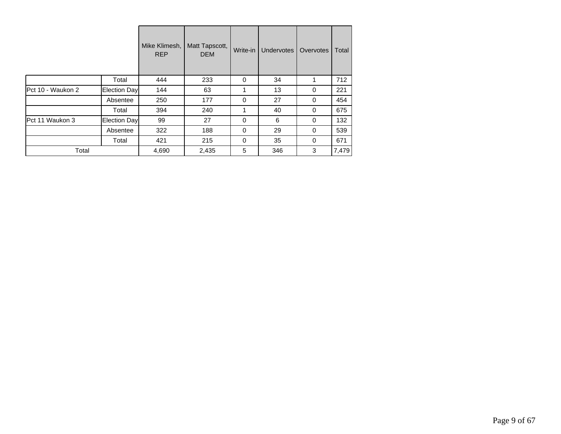|                   |              | Mike Klimesh,<br><b>REP</b> | Matt Tapscott,<br><b>DEM</b> | Write-in | Undervotes | Overvotes | Total |
|-------------------|--------------|-----------------------------|------------------------------|----------|------------|-----------|-------|
|                   | Total        | 444                         | 233                          | 0        | 34         |           | 712   |
| Pct 10 - Waukon 2 | Election Day | 144                         | 63                           | 1        | 13         | 0         | 221   |
|                   | Absentee     | 250                         | 177                          | 0        | 27         | $\Omega$  | 454   |
|                   | Total        | 394                         | 240                          | 1        | 40         | $\Omega$  | 675   |
| Pct 11 Waukon 3   | Election Day | 99                          | 27                           | $\Omega$ | 6          | $\Omega$  | 132   |
|                   | Absentee     | 322                         | 188                          | $\Omega$ | 29         | $\Omega$  | 539   |
|                   | Total        | 421                         | 215                          | 0        | 35         | 0         | 671   |
| Total             |              | 4,690                       | 2,435                        | 5        | 346        | 3         | 7,479 |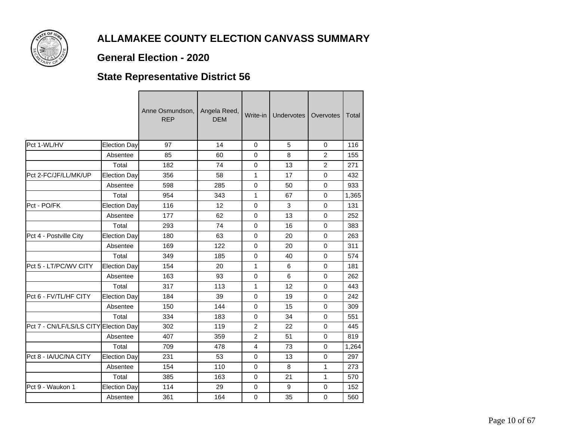

#### **General Election - 2020**

## **State Representative District 56**

|                                       |                     | Anne Osmundson,<br><b>REP</b> | Angela Reed,<br><b>DEM</b> | Write-in       | Undervotes       | Overvotes      | Total |
|---------------------------------------|---------------------|-------------------------------|----------------------------|----------------|------------------|----------------|-------|
| Pct 1-WL/HV                           | <b>Election Day</b> | 97                            | 14                         | $\Omega$       | 5                | 0              | 116   |
|                                       | Absentee            | 85                            | 60                         | $\Omega$       | 8                | $\overline{2}$ | 155   |
|                                       | Total               | 182                           | 74                         | $\mathbf 0$    | 13               | 2              | 271   |
| Pct 2-FC/JF/LL/MK/UP                  | <b>Election Day</b> | 356                           | 58                         | 1              | 17               | $\mathbf 0$    | 432   |
|                                       | Absentee            | 598                           | 285                        | $\mathbf 0$    | 50               | $\mathbf 0$    | 933   |
|                                       | Total               | 954                           | 343                        | $\mathbf{1}$   | 67               | $\Omega$       | 1,365 |
| Pct - PO/FK                           | <b>Election Day</b> | 116                           | 12                         | $\Omega$       | 3                | $\mathbf 0$    | 131   |
|                                       | Absentee            | 177                           | 62                         | $\Omega$       | 13               | $\mathbf 0$    | 252   |
|                                       | Total               | 293                           | 74                         | $\mathbf 0$    | 16               | $\mathbf 0$    | 383   |
| Pct 4 - Postville City                | <b>Election Day</b> | 180                           | 63                         | $\Omega$       | 20               | $\mathbf 0$    | 263   |
|                                       | Absentee            | 169                           | 122                        | $\Omega$       | 20               | $\Omega$       | 311   |
|                                       | Total               | 349                           | 185                        | $\mathbf 0$    | 40               | $\mathbf 0$    | 574   |
| Pct 5 - LT/PC/WV CITY                 | <b>Election Day</b> | 154                           | 20                         | 1              | 6                | $\mathbf 0$    | 181   |
|                                       | Absentee            | 163                           | 93                         | $\mathbf 0$    | 6                | 0              | 262   |
|                                       | Total               | 317                           | 113                        | 1              | 12               | $\Omega$       | 443   |
| Pct 6 - FV/TL/HF CITY                 | <b>Election Day</b> | 184                           | 39                         | $\mathbf 0$    | 19               | $\mathbf 0$    | 242   |
|                                       | Absentee            | 150                           | 144                        | $\mathbf 0$    | 15               | $\mathbf 0$    | 309   |
|                                       | Total               | 334                           | 183                        | $\Omega$       | 34               | $\mathbf 0$    | 551   |
| Pct 7 - CN/LF/LS/LS CITY Election Day |                     | 302                           | 119                        | $\overline{2}$ | 22               | $\mathbf 0$    | 445   |
|                                       | Absentee            | 407                           | 359                        | $\overline{2}$ | 51               | $\Omega$       | 819   |
|                                       | Total               | 709                           | 478                        | $\overline{4}$ | 73               | $\mathbf 0$    | 1,264 |
| Pct 8 - IA/UC/NA CITY                 | <b>Election Day</b> | 231                           | 53                         | $\Omega$       | 13               | $\mathbf 0$    | 297   |
|                                       | Absentee            | 154                           | 110                        | 0              | 8                | 1              | 273   |
|                                       | Total               | 385                           | 163                        | $\mathbf 0$    | 21               | $\mathbf{1}$   | 570   |
| Pct 9 - Waukon 1                      | <b>Election Day</b> | 114                           | 29                         | $\mathbf 0$    | $\boldsymbol{9}$ | 0              | 152   |
|                                       | Absentee            | 361                           | 164                        | $\Omega$       | 35               | 0              | 560   |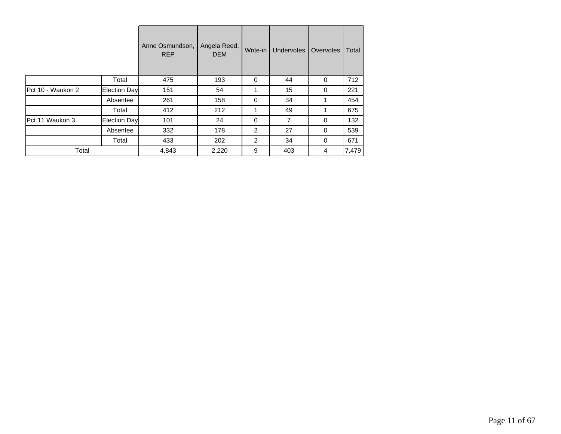|                   |              | Anne Osmundson,<br><b>REP</b> | Angela Reed,<br><b>DEM</b> | Write-in | <b>Undervotes</b> | Overvotes | Total |
|-------------------|--------------|-------------------------------|----------------------------|----------|-------------------|-----------|-------|
|                   | Total        | 475                           | 193                        | 0        | 44                | 0         | 712   |
| Pct 10 - Waukon 2 | Election Day | 151                           | 54                         | 1        | 15                | 0         | 221   |
|                   | Absentee     | 261                           | 158                        | $\Omega$ | 34                |           | 454   |
|                   | Total        | 412                           | 212                        | 1        | 49                |           | 675   |
| Pct 11 Waukon 3   | Election Day | 101                           | 24                         | $\Omega$ | 7                 | $\Omega$  | 132   |
|                   | Absentee     | 332                           | 178                        | 2        | 27                | 0         | 539   |
|                   | Total        | 433                           | 202                        | 2        | 34                | 0         | 671   |
| Total             |              | 4,843                         | 2,220                      | 9        | 403               | 4         | 7,479 |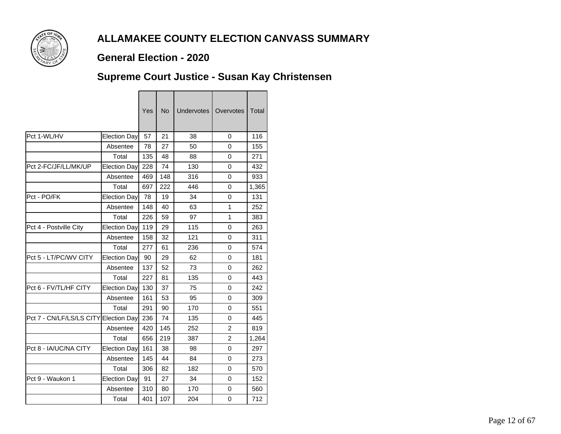

### **General Election - 2020**

### **Supreme Court Justice - Susan Kay Christensen**

|                          |                     | Yes | <b>No</b> | <b>Undervotes</b> | Overvotes      | Total |
|--------------------------|---------------------|-----|-----------|-------------------|----------------|-------|
| Pct 1-WL/HV              | Election Day        | 57  | 21        | 38                | 0              | 116   |
|                          | Absentee            | 78  | 27        | 50                | 0              | 155   |
|                          | Total               | 135 | 48        | 88                | 0              | 271   |
| Pct 2-FC/JF/LL/MK/UP     | Election Day        | 228 | 74        | 130               | 0              | 432   |
|                          | Absentee            | 469 | 148       | 316               | 0              | 933   |
|                          | Total               | 697 | 222       | 446               | 0              | 1,365 |
| Pct - PO/FK              | Election Day        | 78  | 19        | 34                | 0              | 131   |
|                          | Absentee            | 148 | 40        | 63                | 1              | 252   |
|                          | Total               | 226 | 59        | 97                | 1              | 383   |
| Pct 4 - Postville City   | Election Day        | 119 | 29        | 115               | 0              | 263   |
|                          | Absentee            | 158 | 32        | 121               | 0              | 311   |
|                          | Total               | 277 | 61        | 236               | 0              | 574   |
| Pct 5 - LT/PC/WV CITY    | <b>Election Day</b> | 90  | 29        | 62                | 0              | 181   |
|                          | Absentee            | 137 | 52        | 73                | 0              | 262   |
|                          | Total               | 227 | 81        | 135               | 0              | 443   |
| Pct 6 - FV/TL/HF CITY    | Election Day        | 130 | 37        | 75                | 0              | 242   |
|                          | Absentee            | 161 | 53        | 95                | 0              | 309   |
|                          | Total               | 291 | 90        | 170               | 0              | 551   |
| Pct 7 - CN/LF/LS/LS CITY | Election Day        | 236 | 74        | 135               | 0              | 445   |
|                          | Absentee            | 420 | 145       | 252               | $\overline{2}$ | 819   |
|                          | Total               | 656 | 219       | 387               | 2              | 1,264 |
| Pct 8 - IA/UC/NA CITY    | Election Day        | 161 | 38        | 98                | 0              | 297   |
|                          | Absentee            | 145 | 44        | 84                | 0              | 273   |
|                          | Total               | 306 | 82        | 182               | 0              | 570   |
| Pct 9 - Waukon 1         | Election Day        | 91  | 27        | 34                | 0              | 152   |
|                          | Absentee            | 310 | 80        | 170               | 0              | 560   |
|                          | Total               | 401 | 107       | 204               | 0              | 712   |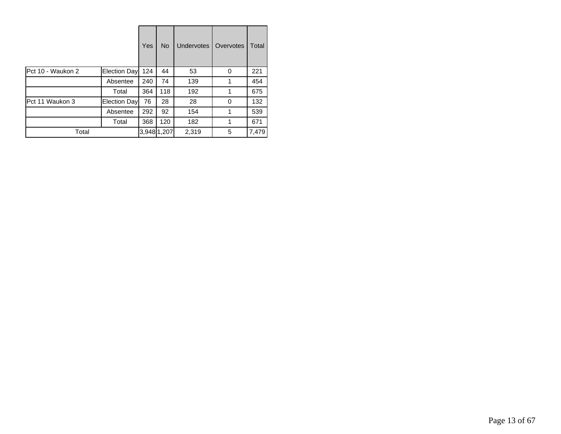|                   |              | Yes         | <b>No</b> | <b>Undervotes</b> | Overvotes | Total |
|-------------------|--------------|-------------|-----------|-------------------|-----------|-------|
| Pct 10 - Waukon 2 | Election Day | 124         | 44        | 53                | 0         | 221   |
|                   | Absentee     | 240         | 74        | 139               |           | 454   |
|                   | Total        | 364         | 118       | 192               |           | 675   |
| Pct 11 Waukon 3   | Election Day | 76          | 28        | 28                | 0         | 132   |
|                   | Absentee     | 292         | 92        | 154               |           | 539   |
|                   | Total        | 368         | 120       | 182               | 1         | 671   |
| Total             |              | 3,948 1,207 |           | 2,319             | 5         | 7,479 |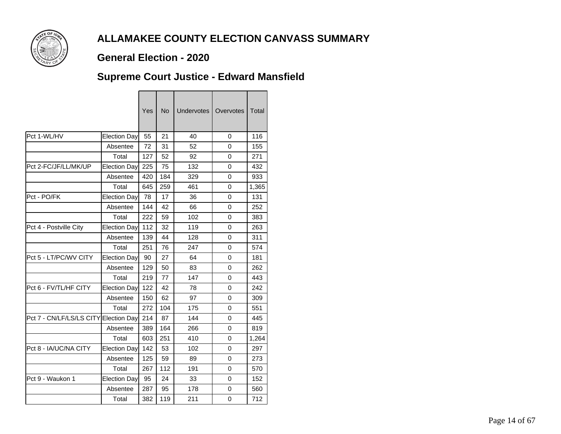

### **General Election - 2020**

╼

 $\overline{ }$ 

### **Supreme Court Justice - Edward Mansfield**

|                                       |                     | Yes | <b>No</b> | <b>Undervotes</b> | Overvotes | <b>Total</b> |
|---------------------------------------|---------------------|-----|-----------|-------------------|-----------|--------------|
| Pct 1-WL/HV                           | <b>Election Day</b> | 55  | 21        | 40                | 0         | 116          |
|                                       | Absentee            | 72  | 31        | 52                | 0         | 155          |
|                                       | Total               | 127 | 52        | 92                | 0         | 271          |
| Pct 2-FC/JF/LL/MK/UP                  | Election Day        | 225 | 75        | 132               | 0         | 432          |
|                                       | Absentee            | 420 | 184       | 329               | 0         | 933          |
|                                       | Total               | 645 | 259       | 461               | 0         | 1,365        |
| Pct - PO/FK                           | Election Day        | 78  | 17        | 36                | $\Omega$  | 131          |
|                                       | Absentee            | 144 | 42        | 66                | 0         | 252          |
|                                       | Total               | 222 | 59        | 102               | 0         | 383          |
| Pct 4 - Postville City                | <b>Election Day</b> | 112 | 32        | 119               | 0         | 263          |
|                                       | Absentee            | 139 | 44        | 128               | 0         | 311          |
|                                       | Total               | 251 | 76        | 247               | 0         | 574          |
| Pct 5 - LT/PC/WV CITY                 | Election Day        | 90  | 27        | 64                | 0         | 181          |
|                                       | Absentee            | 129 | 50        | 83                | 0         | 262          |
|                                       | Total               | 219 | 77        | 147               | 0         | 443          |
| Pct 6 - FV/TL/HF CITY                 | Election Day        | 122 | 42        | 78                | 0         | 242          |
|                                       | Absentee            | 150 | 62        | 97                | 0         | 309          |
|                                       | Total               | 272 | 104       | 175               | 0         | 551          |
| Pct 7 - CN/LF/LS/LS CITY Election Day |                     | 214 | 87        | 144               | 0         | 445          |
|                                       | Absentee            | 389 | 164       | 266               | 0         | 819          |
|                                       | Total               | 603 | 251       | 410               | 0         | 1,264        |
| Pct 8 - IA/UC/NA CITY                 | Election Day        | 142 | 53        | 102               | 0         | 297          |
|                                       | Absentee            | 125 | 59        | 89                | 0         | 273          |
|                                       | Total               | 267 | 112       | 191               | $\Omega$  | 570          |
| Pct 9 - Waukon 1                      | Election Day        | 95  | 24        | 33                | 0         | 152          |
|                                       | Absentee            | 287 | 95        | 178               | 0         | 560          |
|                                       | Total               | 382 | 119       | 211               | 0         | 712          |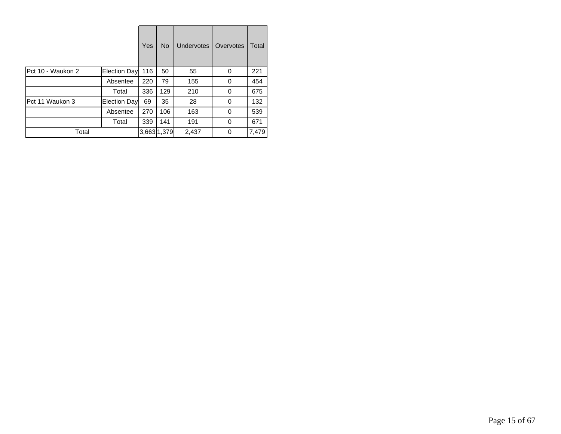|                   |              | Yes | <b>No</b>   | <b>Undervotes</b> | Overvotes | Total |
|-------------------|--------------|-----|-------------|-------------------|-----------|-------|
| Pct 10 - Waukon 2 | Election Day | 116 | 50          | 55                | 0         | 221   |
|                   | Absentee     | 220 | 79          | 155               | 0         | 454   |
|                   | Total        | 336 | 129         | 210               | 0         | 675   |
| Pct 11 Waukon 3   | Election Day | 69  | 35          | 28                | 0         | 132   |
|                   | Absentee     | 270 | 106         | 163               | 0         | 539   |
|                   | Total        | 339 | 141         | 191               | 0         | 671   |
| Total             |              |     | 3,663 1,379 | 2,437             | 0         | 7,479 |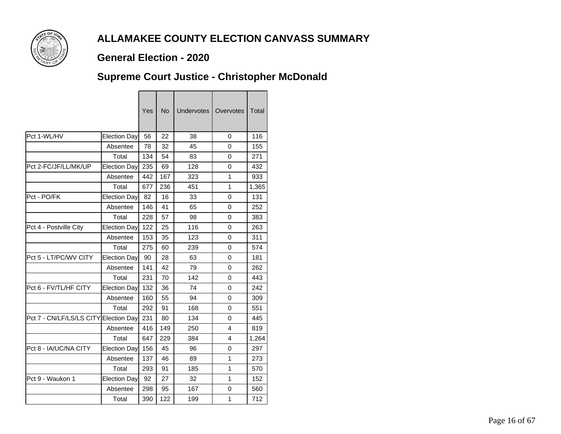

### **General Election - 2020**

## **Supreme Court Justice - Christopher McDonald**

|                          |                     | Yes | <b>No</b> | <b>Undervotes</b> | Overvotes    | Total |
|--------------------------|---------------------|-----|-----------|-------------------|--------------|-------|
| Pct 1-WL/HV              | Election Day        | 56  | 22        | 38                | 0            | 116   |
|                          | Absentee            | 78  | 32        | 45                | 0            | 155   |
|                          | Total               | 134 | 54        | 83                | 0            | 271   |
| Pct 2-FC/JF/LL/MK/UP     | Election Day        | 235 | 69        | 128               | 0            | 432   |
|                          | Absentee            | 442 | 167       | 323               | 1            | 933   |
|                          | Total               | 677 | 236       | 451               | $\mathbf{1}$ | 1,365 |
| Pct - PO/FK              | Election Day        | 82  | 16        | 33                | 0            | 131   |
|                          | Absentee            | 146 | 41        | 65                | 0            | 252   |
|                          | Total               | 228 | 57        | 98                | 0            | 383   |
| Pct 4 - Postville City   | Election Day        | 122 | 25        | 116               | 0            | 263   |
|                          | Absentee            | 153 | 35        | 123               | 0            | 311   |
|                          | Total               | 275 | 60        | 239               | 0            | 574   |
| Pct 5 - LT/PC/WV CITY    | <b>Election Day</b> | 90  | 28        | 63                | 0            | 181   |
|                          | Absentee            | 141 | 42        | 79                | 0            | 262   |
|                          | Total               | 231 | 70        | 142               | 0            | 443   |
| Pct 6 - FV/TL/HF CITY    | Election Day        | 132 | 36        | 74                | 0            | 242   |
|                          | Absentee            | 160 | 55        | 94                | 0            | 309   |
|                          | Total               | 292 | 91        | 168               | 0            | 551   |
| Pct 7 - CN/LF/LS/LS CITY | Election Day        | 231 | 80        | 134               | 0            | 445   |
|                          | Absentee            | 416 | 149       | 250               | 4            | 819   |
|                          | Total               | 647 | 229       | 384               | 4            | 1,264 |
| Pct 8 - IA/UC/NA CITY    | Election Day        | 156 | 45        | 96                | 0            | 297   |
|                          | Absentee            | 137 | 46        | 89                | 1            | 273   |
|                          | Total               | 293 | 91        | 185               | 1            | 570   |
| Pct 9 - Waukon 1         | Election Day        | 92  | 27        | 32                | 1            | 152   |
|                          | Absentee            | 298 | 95        | 167               | 0            | 560   |
|                          | Total               | 390 | 122       | 199               | 1            | 712   |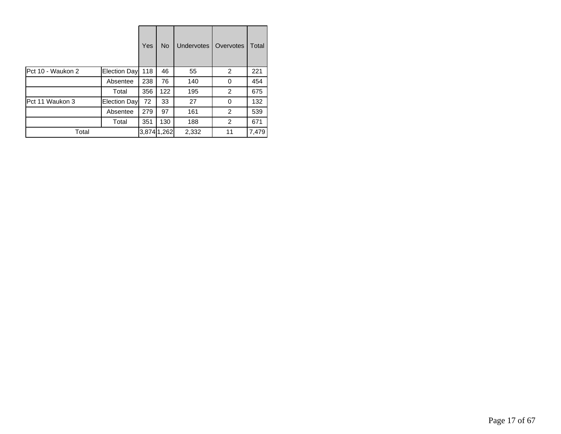|                   |              | Yes | <b>No</b>   | <b>Undervotes</b> | Overvotes | Total |
|-------------------|--------------|-----|-------------|-------------------|-----------|-------|
| Pct 10 - Waukon 2 | Election Day | 118 | 46          | 55                | 2         | 221   |
|                   | Absentee     | 238 | 76          | 140               | 0         | 454   |
|                   | Total        | 356 | 122         | 195               | 2         | 675   |
| Pct 11 Waukon 3   | Election Day | 72  | 33          | 27                | 0         | 132   |
|                   | Absentee     | 279 | 97          | 161               | 2         | 539   |
|                   | Total        | 351 | 130         | 188               | 2         | 671   |
| Total             |              |     | 3,874 1,262 | 2,332             | 11        | 7,479 |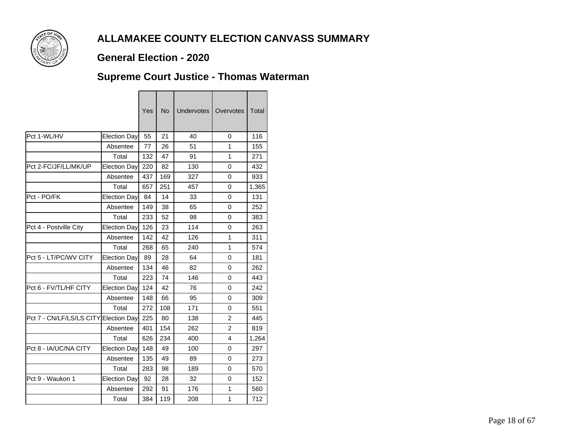

### **General Election - 2020**

### **Supreme Court Justice - Thomas Waterman**

|                          |                     | Yes | <b>No</b> | <b>Undervotes</b> | Overvotes      | Total |
|--------------------------|---------------------|-----|-----------|-------------------|----------------|-------|
| Pct 1-WL/HV              | Election Day        | 55  | 21        | 40                | 0              | 116   |
|                          | Absentee            | 77  | 26        | 51                | 1              | 155   |
|                          | Total               | 132 | 47        | 91                | 1              | 271   |
| Pct 2-FC/JF/LL/MK/UP     | Election Day        | 220 | 82        | 130               | 0              | 432   |
|                          | Absentee            | 437 | 169       | 327               | 0              | 933   |
|                          | Total               | 657 | 251       | 457               | 0              | 1,365 |
| Pct - PO/FK              | Election Day        | 84  | 14        | 33                | 0              | 131   |
|                          | Absentee            | 149 | 38        | 65                | 0              | 252   |
|                          | Total               | 233 | 52        | 98                | 0              | 383   |
| Pct 4 - Postville City   | Election Day        | 126 | 23        | 114               | 0              | 263   |
|                          | Absentee            | 142 | 42        | 126               | 1              | 311   |
|                          | Total               | 268 | 65        | 240               | 1              | 574   |
| Pct 5 - LT/PC/WV CITY    | <b>Election Day</b> | 89  | 28        | 64                | 0              | 181   |
|                          | Absentee            | 134 | 46        | 82                | 0              | 262   |
|                          | Total               | 223 | 74        | 146               | 0              | 443   |
| Pct 6 - FV/TL/HF CITY    | Election Day        | 124 | 42        | 76                | 0              | 242   |
|                          | Absentee            | 148 | 66        | 95                | 0              | 309   |
|                          | Total               | 272 | 108       | 171               | 0              | 551   |
| Pct 7 - CN/LF/LS/LS CITY | Election Day        | 225 | 80        | 138               | $\overline{2}$ | 445   |
|                          | Absentee            | 401 | 154       | 262               | $\overline{2}$ | 819   |
|                          | Total               | 626 | 234       | 400               | 4              | 1,264 |
| Pct 8 - IA/UC/NA CITY    | Election Day        | 148 | 49        | 100               | 0              | 297   |
|                          | Absentee            | 135 | 49        | 89                | 0              | 273   |
|                          | Total               | 283 | 98        | 189               | 0              | 570   |
| Pct 9 - Waukon 1         | Election Day        | 92  | 28        | 32                | 0              | 152   |
|                          | Absentee            | 292 | 91        | 176               | 1              | 560   |
|                          | Total               | 384 | 119       | 208               | $\mathbf{1}$   | 712   |
|                          |                     |     |           |                   |                |       |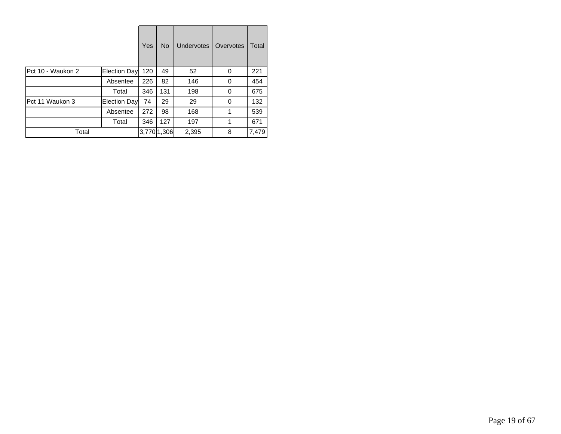|                   |              | Yes | <b>No</b>   | <b>Undervotes</b> | Overvotes | Total |
|-------------------|--------------|-----|-------------|-------------------|-----------|-------|
| Pct 10 - Waukon 2 | Election Day | 120 | 49          | 52                | 0         | 221   |
|                   | Absentee     | 226 | 82          | 146               | 0         | 454   |
|                   | Total        | 346 | 131         | 198               | 0         | 675   |
| Pct 11 Waukon 3   | Election Day | 74  | 29          | 29                | 0         | 132   |
|                   | Absentee     | 272 | 98          | 168               |           | 539   |
|                   | Total        | 346 | 127         | 197               | 1         | 671   |
| Total             |              |     | 3,770 1,306 | 2,395             | 8         | 7,479 |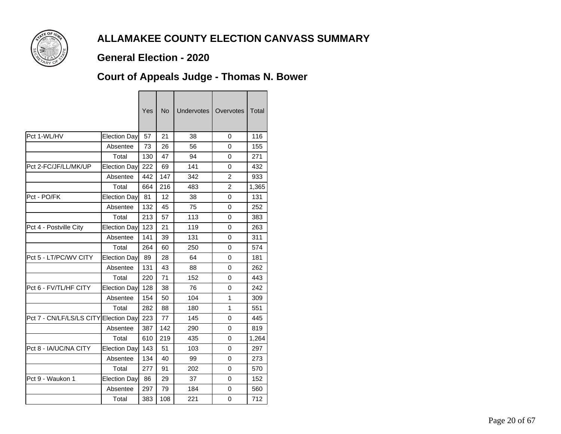

### **General Election - 2020**

## **Court of Appeals Judge - Thomas N. Bower**

|                          |                      | Yes | <b>No</b> | Undervotes | Overvotes      | Total |
|--------------------------|----------------------|-----|-----------|------------|----------------|-------|
| Pct 1-WL/HV              | Election Day         | 57  | 21        | 38         | 0              | 116   |
|                          | Absentee             | 73  | 26        | 56         | 0              | 155   |
|                          | Total                | 130 | 47        | 94         | 0              | 271   |
| Pct 2-FC/JF/LL/MK/UP     | Election Day         | 222 | 69        | 141        | 0              | 432   |
|                          | Absentee             | 442 | 147       | 342        | $\overline{2}$ | 933   |
|                          | Total                | 664 | 216       | 483        | $\overline{2}$ | 1,365 |
| Pct - PO/FK              | Election Day         | 81  | 12        | 38         | 0              | 131   |
|                          | Absentee             | 132 | 45        | 75         | 0              | 252   |
|                          | Total                | 213 | 57        | 113        | 0              | 383   |
| Pct 4 - Postville City   | <b>Election Davl</b> | 123 | 21        | 119        | 0              | 263   |
|                          | Absentee             | 141 | 39        | 131        | 0              | 311   |
|                          | Total                | 264 | 60        | 250        | 0              | 574   |
| Pct 5 - LT/PC/WV CITY    | <b>Election Day</b>  | 89  | 28        | 64         | 0              | 181   |
|                          | Absentee             | 131 | 43        | 88         | 0              | 262   |
|                          | Total                | 220 | 71        | 152        | 0              | 443   |
| Pct 6 - FV/TL/HF CITY    | Election Day         | 128 | 38        | 76         | 0              | 242   |
|                          | Absentee             | 154 | 50        | 104        | 1              | 309   |
|                          | Total                | 282 | 88        | 180        | $\mathbf{1}$   | 551   |
| Pct 7 - CN/LF/LS/LS CITY | Election Day         | 223 | 77        | 145        | 0              | 445   |
|                          | Absentee             | 387 | 142       | 290        | 0              | 819   |
|                          | Total                | 610 | 219       | 435        | 0              | 1,264 |
| Pct 8 - IA/UC/NA CITY    | Election Day         | 143 | 51        | 103        | 0              | 297   |
|                          | Absentee             | 134 | 40        | 99         | 0              | 273   |
|                          | Total                | 277 | 91        | 202        | 0              | 570   |
| Pct 9 - Waukon 1         | Election Day         | 86  | 29        | 37         | 0              | 152   |
|                          | Absentee             | 297 | 79        | 184        | 0              | 560   |
|                          | Total                | 383 | 108       | 221        | 0              | 712   |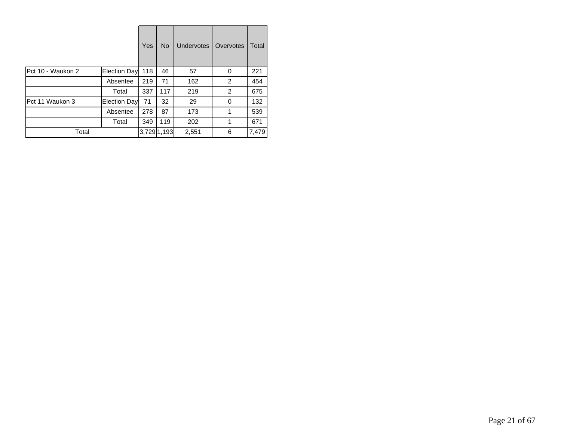|                   |              | Yes | <b>No</b>   | <b>Undervotes</b> | Overvotes | Total |
|-------------------|--------------|-----|-------------|-------------------|-----------|-------|
| Pct 10 - Waukon 2 | Election Day | 118 | 46          | 57                | 0         | 221   |
|                   | Absentee     | 219 | 71          | 162               | 2         | 454   |
|                   | Total        | 337 | 117         | 219               | 2         | 675   |
| Pct 11 Waukon 3   | Election Day | 71  | 32          | 29                | 0         | 132   |
|                   | Absentee     | 278 | 87          | 173               |           | 539   |
|                   | Total        | 349 | 119         | 202               | 1         | 671   |
| Total             |              |     | 3,729 1,193 | 2,551             | 6         | 7,479 |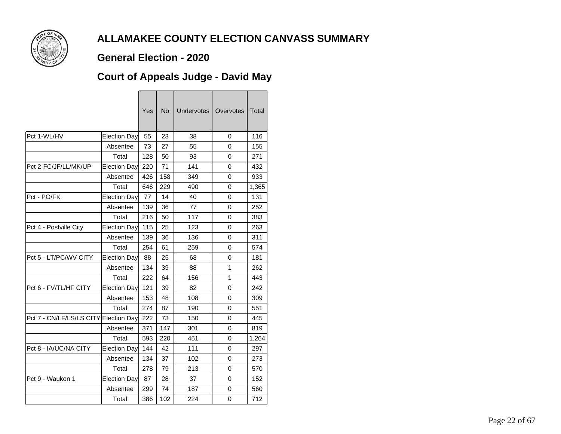

### **General Election - 2020**

## **Court of Appeals Judge - David May**

|                          |                     | Yes | No  | <b>Undervotes</b> | Overvotes | Total |
|--------------------------|---------------------|-----|-----|-------------------|-----------|-------|
| Pct 1-WL/HV              | Election Day        | 55  | 23  | 38                | 0         | 116   |
|                          | Absentee            | 73  | 27  | 55                | 0         | 155   |
|                          | Total               | 128 | 50  | 93                | 0         | 271   |
| Pct 2-FC/JF/LL/MK/UP     | Election Day        | 220 | 71  | 141               | 0         | 432   |
|                          | Absentee            | 426 | 158 | 349               | 0         | 933   |
|                          | Total               | 646 | 229 | 490               | 0         | 1,365 |
| Pct - PO/FK              | Election Day        | 77  | 14  | 40                | 0         | 131   |
|                          | Absentee            | 139 | 36  | 77                | 0         | 252   |
|                          | Total               | 216 | 50  | 117               | 0         | 383   |
| Pct 4 - Postville City   | Election Day        | 115 | 25  | 123               | 0         | 263   |
|                          | Absentee            | 139 | 36  | 136               | 0         | 311   |
|                          | Total               | 254 | 61  | 259               | 0         | 574   |
| Pct 5 - LT/PC/WV CITY    | Election Day        | 88  | 25  | 68                | 0         | 181   |
|                          | Absentee            | 134 | 39  | 88                | 1         | 262   |
|                          | Total               | 222 | 64  | 156               | 1         | 443   |
| Pct 6 - FV/TL/HF CITY    | Election Day        | 121 | 39  | 82                | 0         | 242   |
|                          | Absentee            | 153 | 48  | 108               | 0         | 309   |
|                          | Total               | 274 | 87  | 190               | 0         | 551   |
| Pct 7 - CN/LF/LS/LS CITY | <b>Election Day</b> | 222 | 73  | 150               | 0         | 445   |
|                          | Absentee            | 371 | 147 | 301               | 0         | 819   |
|                          | Total               | 593 | 220 | 451               | $\Omega$  | 1,264 |
| Pct 8 - IA/UC/NA CITY    | Election Day        | 144 | 42  | 111               | 0         | 297   |
|                          | Absentee            | 134 | 37  | 102               | 0         | 273   |
|                          | Total               | 278 | 79  | 213               | 0         | 570   |
| Pct 9 - Waukon 1         | Election Day        | 87  | 28  | 37                | 0         | 152   |
|                          | Absentee            | 299 | 74  | 187               | 0         | 560   |
|                          | Total               | 386 | 102 | 224               | 0         | 712   |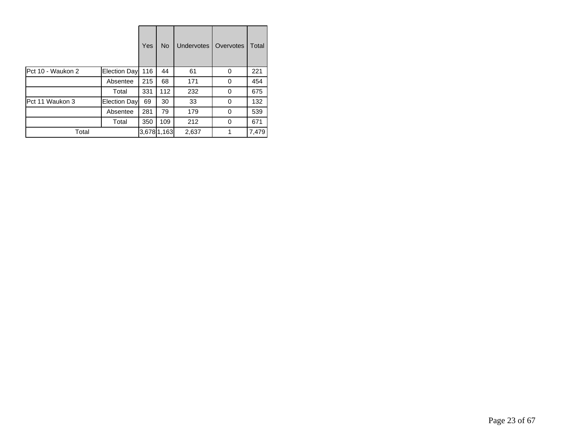|                   |              | Yes | <b>No</b>   | <b>Undervotes</b> | Overvotes | Total |
|-------------------|--------------|-----|-------------|-------------------|-----------|-------|
| Pct 10 - Waukon 2 | Election Day | 116 | 44          | 61                | 0         | 221   |
|                   | Absentee     | 215 | 68          | 171               | 0         | 454   |
|                   | Total        | 331 | 112         | 232               | 0         | 675   |
| Pct 11 Waukon 3   | Election Day | 69  | 30          | 33                | 0         | 132   |
|                   | Absentee     | 281 | 79          | 179               | 0         | 539   |
|                   | Total        | 350 | 109         | 212               | 0         | 671   |
| Total             |              |     | 3,678 1,163 | 2,637             |           | 7,479 |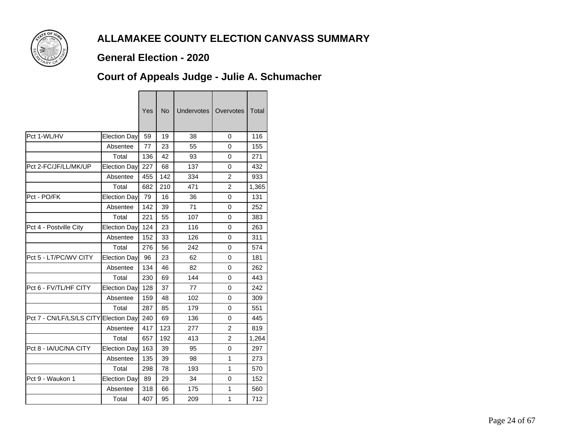

### **General Election - 2020**

# **Court of Appeals Judge - Julie A. Schumacher**

|                          |                     | Yes | <b>No</b> | <b>Undervotes</b> | Overvotes      | Total |
|--------------------------|---------------------|-----|-----------|-------------------|----------------|-------|
| Pct 1-WL/HV              | Election Day        | 59  | 19        | 38                | 0              | 116   |
|                          | Absentee            | 77  | 23        | 55                | 0              | 155   |
|                          | Total               | 136 | 42        | 93                | 0              | 271   |
| Pct 2-FC/JF/LL/MK/UP     | Election Day        | 227 | 68        | 137               | 0              | 432   |
|                          | Absentee            | 455 | 142       | 334               | $\overline{2}$ | 933   |
|                          | Total               | 682 | 210       | 471               | $\overline{c}$ | 1,365 |
| Pct - PO/FK              | Election Day        | 79  | 16        | 36                | 0              | 131   |
|                          | Absentee            | 142 | 39        | 71                | 0              | 252   |
|                          | Total               | 221 | 55        | 107               | 0              | 383   |
| Pct 4 - Postville City   | Election Day        | 124 | 23        | 116               | 0              | 263   |
|                          | Absentee            | 152 | 33        | 126               | 0              | 311   |
|                          | Total               | 276 | 56        | 242               | 0              | 574   |
| Pct 5 - LT/PC/WV CITY    | <b>Election Day</b> | 96  | 23        | 62                | 0              | 181   |
|                          | Absentee            | 134 | 46        | 82                | 0              | 262   |
|                          | Total               | 230 | 69        | 144               | 0              | 443   |
| Pct 6 - FV/TL/HF CITY    | Election Day        | 128 | 37        | 77                | 0              | 242   |
|                          | Absentee            | 159 | 48        | 102               | 0              | 309   |
|                          | Total               | 287 | 85        | 179               | 0              | 551   |
| Pct 7 - CN/LF/LS/LS CITY | Election Day        | 240 | 69        | 136               | 0              | 445   |
|                          | Absentee            | 417 | 123       | 277               | $\overline{2}$ | 819   |
|                          | Total               | 657 | 192       | 413               | $\overline{c}$ | 1,264 |
| Pct 8 - IA/UC/NA CITY    | Election Day        | 163 | 39        | 95                | 0              | 297   |
|                          | Absentee            | 135 | 39        | 98                | 1              | 273   |
|                          | Total               | 298 | 78        | 193               | 1              | 570   |
| Pct 9 - Waukon 1         | Election Day        | 89  | 29        | 34                | 0              | 152   |
|                          | Absentee            | 318 | 66        | 175               | 1              | 560   |
|                          | Total               | 407 | 95        | 209               | 1              | 712   |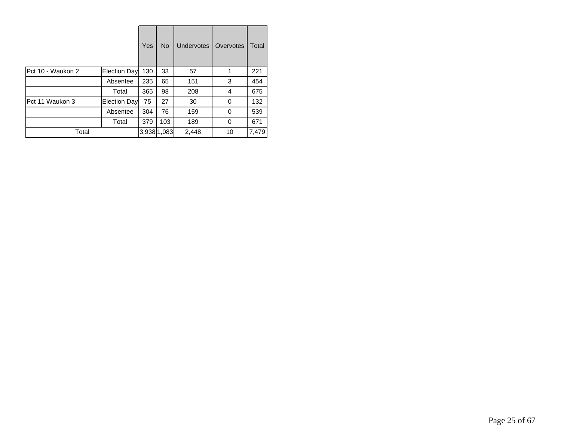|                   |              | Yes | <b>No</b>   | <b>Undervotes</b> | Overvotes | Total |
|-------------------|--------------|-----|-------------|-------------------|-----------|-------|
| Pct 10 - Waukon 2 | Election Day | 130 | 33          | 57                |           | 221   |
|                   | Absentee     | 235 | 65          | 151               | 3         | 454   |
|                   | Total        | 365 | 98          | 208               | 4         | 675   |
| Pct 11 Waukon 3   | Election Day | 75  | 27          | 30                | 0         | 132   |
|                   | Absentee     | 304 | 76          | 159               | 0         | 539   |
|                   | Total        | 379 | 103         | 189               | 0         | 671   |
| Total             |              |     | 3,938 1,083 | 2,448             | 10        | 7,479 |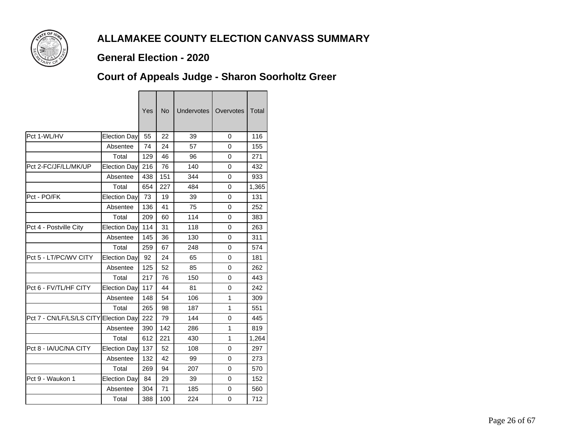

### **General Election - 2020**

## **Court of Appeals Judge - Sharon Soorholtz Greer**

|                          |                     | Yes | No  | <b>Undervotes</b> | Overvotes | Total |
|--------------------------|---------------------|-----|-----|-------------------|-----------|-------|
| Pct 1-WL/HV              | <b>Election Day</b> | 55  | 22  | 39                | 0         | 116   |
|                          | Absentee            | 74  | 24  | 57                | 0         | 155   |
|                          | Total               | 129 | 46  | 96                | 0         | 271   |
| Pct 2-FC/JF/LL/MK/UP     | Election Day        | 216 | 76  | 140               | 0         | 432   |
|                          | Absentee            | 438 | 151 | 344               | 0         | 933   |
|                          | Total               | 654 | 227 | 484               | 0         | 1,365 |
| Pct - PO/FK              | Election Day        | 73  | 19  | 39                | 0         | 131   |
|                          | Absentee            | 136 | 41  | 75                | 0         | 252   |
|                          | Total               | 209 | 60  | 114               | 0         | 383   |
| Pct 4 - Postville City   | Election Day        | 114 | 31  | 118               | 0         | 263   |
|                          | Absentee            | 145 | 36  | 130               | $\Omega$  | 311   |
|                          | Total               | 259 | 67  | 248               | 0         | 574   |
| Pct 5 - LT/PC/WV CITY    | Election Day        | 92  | 24  | 65                | 0         | 181   |
|                          | Absentee            | 125 | 52  | 85                | 0         | 262   |
|                          | Total               | 217 | 76  | 150               | 0         | 443   |
| Pct 6 - FV/TL/HF CITY    | Election Day        | 117 | 44  | 81                | 0         | 242   |
|                          | Absentee            | 148 | 54  | 106               | 1         | 309   |
|                          | Total               | 265 | 98  | 187               | 1         | 551   |
| Pct 7 - CN/LF/LS/LS CITY | Election Day        | 222 | 79  | 144               | 0         | 445   |
|                          | Absentee            | 390 | 142 | 286               | 1         | 819   |
|                          | Total               | 612 | 221 | 430               | 1         | 1,264 |
| Pct 8 - IA/UC/NA CITY    | Election Day        | 137 | 52  | 108               | 0         | 297   |
|                          | Absentee            | 132 | 42  | 99                | 0         | 273   |
|                          | Total               | 269 | 94  | 207               | 0         | 570   |
| Pct 9 - Waukon 1         | Election Day        | 84  | 29  | 39                | 0         | 152   |
|                          | Absentee            | 304 | 71  | 185               | 0         | 560   |
|                          | Total               | 388 | 100 | 224               | 0         | 712   |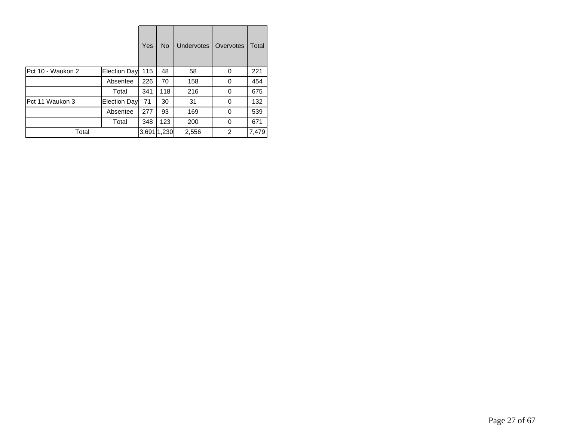|                   |              | Yes   | <b>No</b> | <b>Undervotes</b> | Overvotes | Total |
|-------------------|--------------|-------|-----------|-------------------|-----------|-------|
| Pct 10 - Waukon 2 | Election Day | 115   | 48        | 58                | 0         | 221   |
|                   | Absentee     | 226   | 70        | 158               | 0         | 454   |
|                   | Total        | 341   | 118       | 216               | 0         | 675   |
| Pct 11 Waukon 3   | Election Day | 71    | 30        | 31                | 0         | 132   |
|                   | Absentee     | 277   | 93        | 169               | 0         | 539   |
|                   | Total        | 348   | 123       | 200               | 0         | 671   |
| Total             |              | 3,691 | 1,230     | 2,556             | 2         | 7,479 |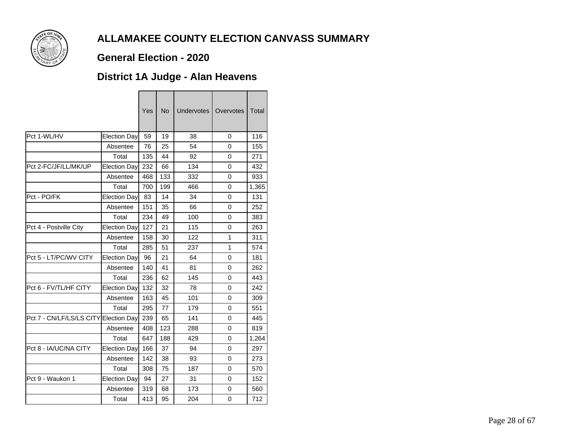

### **General Election - 2020**

## **District 1A Judge - Alan Heavens**

|                                       |              | Yes | <b>No</b> | <b>Undervotes</b> | Overvotes | <b>Total</b> |
|---------------------------------------|--------------|-----|-----------|-------------------|-----------|--------------|
| Pct 1-WL/HV                           | Election Day | 59  | 19        | 38                | 0         | 116          |
|                                       | Absentee     | 76  | 25        | 54                | 0         | 155          |
|                                       | Total        | 135 | 44        | 92                | 0         | 271          |
| Pct 2-FC/JF/LL/MK/UP                  | Election Day | 232 | 66        | 134               | 0         | 432          |
|                                       | Absentee     | 468 | 133       | 332               | 0         | 933          |
|                                       | Total        | 700 | 199       | 466               | 0         | 1,365        |
| Pct - PO/FK                           | Election Day | 83  | 14        | 34                | 0         | 131          |
|                                       | Absentee     | 151 | 35        | 66                | 0         | 252          |
|                                       | Total        | 234 | 49        | 100               | 0         | 383          |
| Pct 4 - Postville City                | Election Day | 127 | 21        | 115               | 0         | 263          |
|                                       | Absentee     | 158 | 30        | 122               | 1         | 311          |
|                                       | Total        | 285 | 51        | 237               | 1         | 574          |
| Pct 5 - LT/PC/WV CITY                 | Election Day | 96  | 21        | 64                | 0         | 181          |
|                                       | Absentee     | 140 | 41        | 81                | 0         | 262          |
|                                       | Total        | 236 | 62        | 145               | 0         | 443          |
| Pct 6 - FV/TL/HF CITY                 | Election Day | 132 | 32        | 78                | 0         | 242          |
|                                       | Absentee     | 163 | 45        | 101               | 0         | 309          |
|                                       | Total        | 295 | 77        | 179               | 0         | 551          |
| Pct 7 - CN/LF/LS/LS CITY Election Day |              | 239 | 65        | 141               | $\Omega$  | 445          |
|                                       | Absentee     | 408 | 123       | 288               | 0         | 819          |
|                                       | Total        | 647 | 188       | 429               | 0         | 1,264        |
| Pct 8 - IA/UC/NA CITY                 | Election Day | 166 | 37        | 94                | 0         | 297          |
|                                       | Absentee     | 142 | 38        | 93                | 0         | 273          |
|                                       | Total        | 308 | 75        | 187               | 0         | 570          |
| Pct 9 - Waukon 1                      | Election Day | 94  | 27        | 31                | 0         | 152          |
|                                       | Absentee     | 319 | 68        | 173               | 0         | 560          |
|                                       | Total        | 413 | 95        | 204               | 0         | 712          |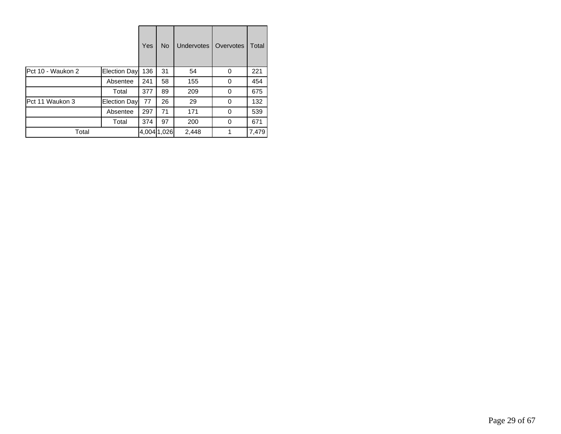|                   |              | Yes | <b>No</b>   | <b>Undervotes</b> | Overvotes | Total |
|-------------------|--------------|-----|-------------|-------------------|-----------|-------|
| Pct 10 - Waukon 2 | Election Day | 136 | 31          | 54                | 0         | 221   |
|                   | Absentee     | 241 | 58          | 155               | 0         | 454   |
|                   | Total        | 377 | 89          | 209               | 0         | 675   |
| Pct 11 Waukon 3   | Election Day | 77  | 26          | 29                | 0         | 132   |
|                   | Absentee     | 297 | 71          | 171               | 0         | 539   |
|                   | Total        | 374 | 97          | 200               | 0         | 671   |
| Total             |              |     | 4,004 1,026 | 2,448             |           | 7,479 |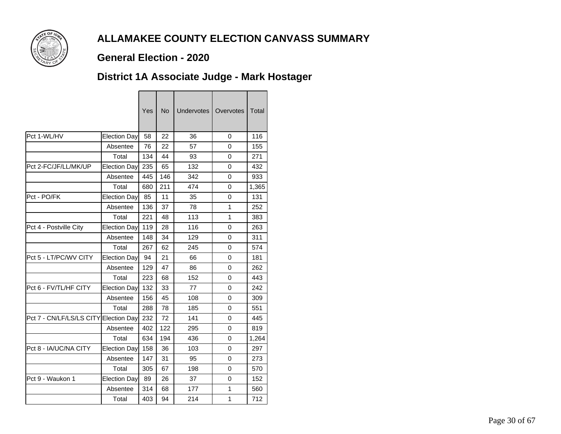

### **General Election - 2020**

## **District 1A Associate Judge - Mark Hostager**

<u> Tanzania de la contrada de la contrada de la contrada de la contrada de la contrada de la contrada de la con</u>

|                                       |                     | Yes | <b>No</b> | <b>Undervotes</b> | Overvotes | <b>Total</b> |
|---------------------------------------|---------------------|-----|-----------|-------------------|-----------|--------------|
| Pct 1-WL/HV                           | <b>Election Day</b> | 58  | 22        | 36                | 0         | 116          |
|                                       | Absentee            | 76  | 22        | 57                | 0         | 155          |
|                                       | Total               | 134 | 44        | 93                | 0         | 271          |
| Pct 2-FC/JF/LL/MK/UP                  | Election Day        | 235 | 65        | 132               | 0         | 432          |
|                                       | Absentee            | 445 | 146       | 342               | 0         | 933          |
|                                       | Total               | 680 | 211       | 474               | 0         | 1,365        |
| Pct - PO/FK                           | Election Day        | 85  | 11        | 35                | 0         | 131          |
|                                       | Absentee            | 136 | 37        | 78                | 1         | 252          |
|                                       | Total               | 221 | 48        | 113               | 1         | 383          |
| Pct 4 - Postville City                | <b>Election Day</b> | 119 | 28        | 116               | 0         | 263          |
|                                       | Absentee            | 148 | 34        | 129               | 0         | 311          |
|                                       | Total               | 267 | 62        | 245               | $\Omega$  | 574          |
| Pct 5 - LT/PC/WV CITY                 | Election Day        | 94  | 21        | 66                | 0         | 181          |
|                                       | Absentee            | 129 | 47        | 86                | 0         | 262          |
|                                       | Total               | 223 | 68        | 152               | 0         | 443          |
| Pct 6 - FV/TL/HF CITY                 | Election Day        | 132 | 33        | 77                | 0         | 242          |
|                                       | Absentee            | 156 | 45        | 108               | 0         | 309          |
|                                       | Total               | 288 | 78        | 185               | 0         | 551          |
| Pct 7 - CN/LF/LS/LS CITY Election Day |                     | 232 | 72        | 141               | 0         | 445          |
|                                       | Absentee            | 402 | 122       | 295               | 0         | 819          |
|                                       | Total               | 634 | 194       | 436               | 0         | 1,264        |
| Pct 8 - IA/UC/NA CITY                 | Election Day        | 158 | 36        | 103               | 0         | 297          |
|                                       | Absentee            | 147 | 31        | 95                | 0         | 273          |
|                                       | Total               | 305 | 67        | 198               | 0         | 570          |
| Pct 9 - Waukon 1                      | Election Day        | 89  | 26        | 37                | 0         | 152          |
|                                       | Absentee            | 314 | 68        | 177               | 1         | 560          |
|                                       | Total               | 403 | 94        | 214               | 1         | 712          |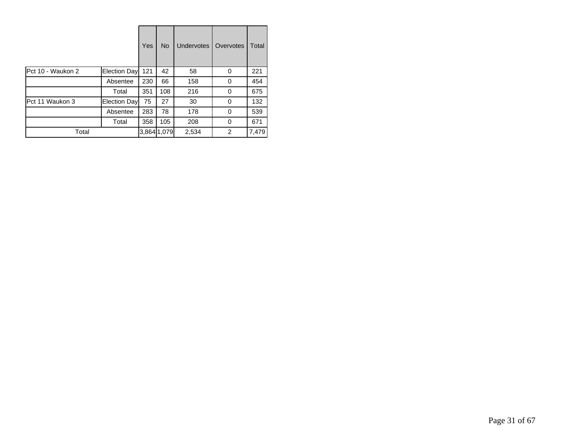|                   |              | Yes | <b>No</b>   | <b>Undervotes</b> | Overvotes | Total |
|-------------------|--------------|-----|-------------|-------------------|-----------|-------|
| Pct 10 - Waukon 2 | Election Day | 121 | 42          | 58                | 0         | 221   |
|                   | Absentee     | 230 | 66          | 158               | 0         | 454   |
|                   | Total        | 351 | 108         | 216               | 0         | 675   |
| Pct 11 Waukon 3   | Election Day | 75  | 27          | 30                | 0         | 132   |
|                   | Absentee     | 283 | 78          | 178               | 0         | 539   |
|                   | Total        | 358 | 105         | 208               | 0         | 671   |
| Total             |              |     | 3,864 1,079 | 2,534             | 2         | 7,479 |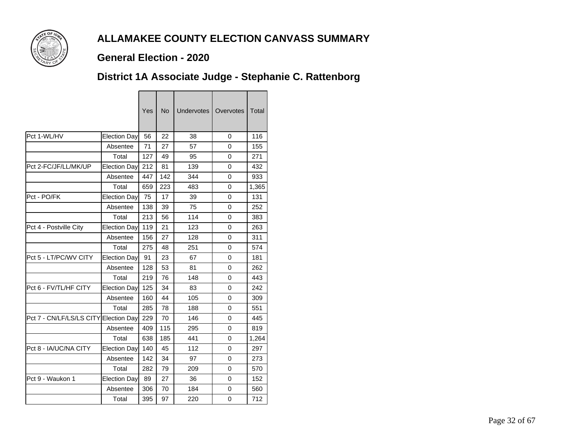

### **General Election - 2020**

## **District 1A Associate Judge - Stephanie C. Rattenborg**

<u> Tanzania de la contrada de la contrada de la contrada de la contrada de la contrada de la contrada de la con</u>

|                                       |                     | Yes | <b>No</b> | <b>Undervotes</b> | Overvotes | <b>Total</b> |
|---------------------------------------|---------------------|-----|-----------|-------------------|-----------|--------------|
| Pct 1-WL/HV                           | <b>Election Day</b> | 56  | 22        | 38                | 0         | 116          |
|                                       | Absentee            | 71  | 27        | 57                | 0         | 155          |
|                                       | Total               | 127 | 49        | 95                | 0         | 271          |
| Pct 2-FC/JF/LL/MK/UP                  | Election Day        | 212 | 81        | 139               | 0         | 432          |
|                                       | Absentee            | 447 | 142       | 344               | 0         | 933          |
|                                       | Total               | 659 | 223       | 483               | 0         | 1,365        |
| Pct - PO/FK                           | Election Day        | 75  | 17        | 39                | 0         | 131          |
|                                       | Absentee            | 138 | 39        | 75                | 0         | 252          |
|                                       | Total               | 213 | 56        | 114               | 0         | 383          |
| Pct 4 - Postville City                | Election Day        | 119 | 21        | 123               | 0         | 263          |
|                                       | Absentee            | 156 | 27        | 128               | 0         | 311          |
|                                       | Total               | 275 | 48        | 251               | $\Omega$  | 574          |
| Pct 5 - LT/PC/WV CITY                 | Election Day        | 91  | 23        | 67                | 0         | 181          |
|                                       | Absentee            | 128 | 53        | 81                | 0         | 262          |
|                                       | Total               | 219 | 76        | 148               | 0         | 443          |
| Pct 6 - FV/TL/HF CITY                 | Election Day        | 125 | 34        | 83                | 0         | 242          |
|                                       | Absentee            | 160 | 44        | 105               | 0         | 309          |
|                                       | Total               | 285 | 78        | 188               | 0         | 551          |
| Pct 7 - CN/LF/LS/LS CITY Election Day |                     | 229 | 70        | 146               | 0         | 445          |
|                                       | Absentee            | 409 | 115       | 295               | 0         | 819          |
|                                       | Total               | 638 | 185       | 441               | 0         | 1,264        |
| Pct 8 - IA/UC/NA CITY                 | Election Day        | 140 | 45        | 112               | 0         | 297          |
|                                       | Absentee            | 142 | 34        | 97                | 0         | 273          |
|                                       | Total               | 282 | 79        | 209               | 0         | 570          |
| Pct 9 - Waukon 1                      | Election Day        | 89  | 27        | 36                | 0         | 152          |
|                                       | Absentee            | 306 | 70        | 184               | 0         | 560          |
|                                       | Total               | 395 | 97        | 220               | 0         | 712          |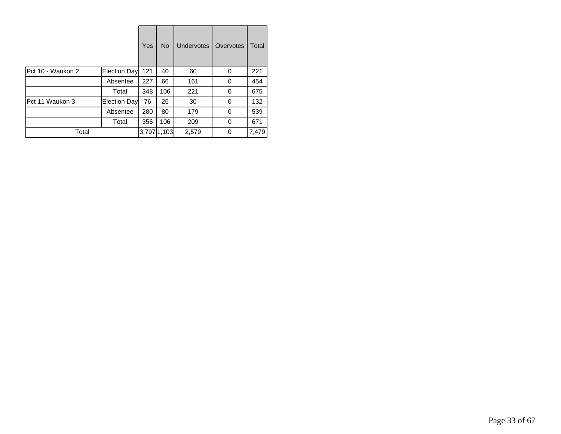|                   |              | Yes | <b>No</b>   | <b>Undervotes</b> | Overvotes | Total |
|-------------------|--------------|-----|-------------|-------------------|-----------|-------|
| Pct 10 - Waukon 2 | Election Day | 121 | 40          | 60                | 0         | 221   |
|                   | Absentee     | 227 | 66          | 161               | 0         | 454   |
|                   | Total        | 348 | 106         | 221               | 0         | 675   |
| Pct 11 Waukon 3   | Election Day | 76  | 26          | 30                | 0         | 132   |
|                   | Absentee     | 280 | 80          | 179               | 0         | 539   |
|                   | Total        | 356 | 106         | 209               | 0         | 671   |
| Total             |              |     | 3,797 1,103 | 2,579             | 0         | 7,479 |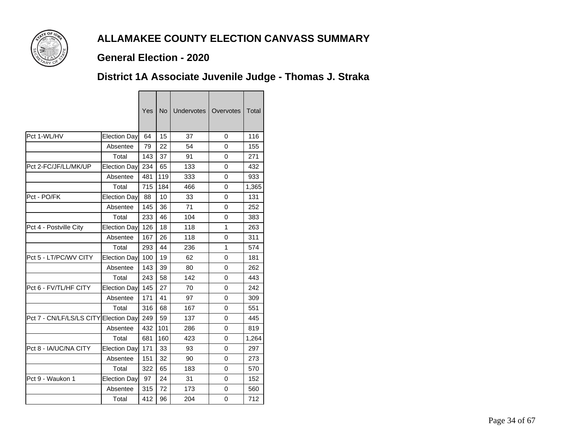

#### **General Election - 2020**

## **District 1A Associate Juvenile Judge - Thomas J. Straka**

|                          |                     | Yes | No  | <b>Undervotes</b> | Overvotes    | Total |
|--------------------------|---------------------|-----|-----|-------------------|--------------|-------|
| Pct 1-WL/HV              | <b>Election Day</b> | 64  | 15  | 37                | 0            | 116   |
|                          | Absentee            | 79  | 22  | 54                | 0            | 155   |
|                          | Total               | 143 | 37  | 91                | 0            | 271   |
| Pct 2-FC/JF/LL/MK/UP     | <b>Election Day</b> | 234 | 65  | 133               | 0            | 432   |
|                          | Absentee            | 481 | 119 | 333               | 0            | 933   |
|                          | Total               | 715 | 184 | 466               | 0            | 1,365 |
| Pct - PO/FK              | Election Day        | 88  | 10  | 33                | 0            | 131   |
|                          | Absentee            | 145 | 36  | 71                | 0            | 252   |
|                          | Total               | 233 | 46  | 104               | 0            | 383   |
| Pct 4 - Postville City   | Election Day        | 126 | 18  | 118               | $\mathbf{1}$ | 263   |
|                          | Absentee            | 167 | 26  | 118               | 0            | 311   |
|                          | Total               | 293 | 44  | 236               | 1            | 574   |
| Pct 5 - LT/PC/WV CITY    | <b>Election Day</b> | 100 | 19  | 62                | 0            | 181   |
|                          | Absentee            | 143 | 39  | 80                | 0            | 262   |
|                          | Total               | 243 | 58  | 142               | 0            | 443   |
| Pct 6 - FV/TL/HF CITY    | <b>Election Day</b> | 145 | 27  | 70                | 0            | 242   |
|                          | Absentee            | 171 | 41  | 97                | 0            | 309   |
|                          | Total               | 316 | 68  | 167               | 0            | 551   |
| Pct 7 - CN/LF/LS/LS CITY | <b>Election Day</b> | 249 | 59  | 137               | 0            | 445   |
|                          | Absentee            | 432 | 101 | 286               | 0            | 819   |
|                          | Total               | 681 | 160 | 423               | 0            | 1,264 |
| Pct 8 - IA/UC/NA CITY    | Election Day        | 171 | 33  | 93                | 0            | 297   |
|                          | Absentee            | 151 | 32  | 90                | 0            | 273   |
|                          | Total               | 322 | 65  | 183               | 0            | 570   |
| Pct 9 - Waukon 1         | Election Day        | 97  | 24  | 31                | 0            | 152   |
|                          | Absentee            | 315 | 72  | 173               | 0            | 560   |
|                          | Total               | 412 | 96  | 204               | 0            | 712   |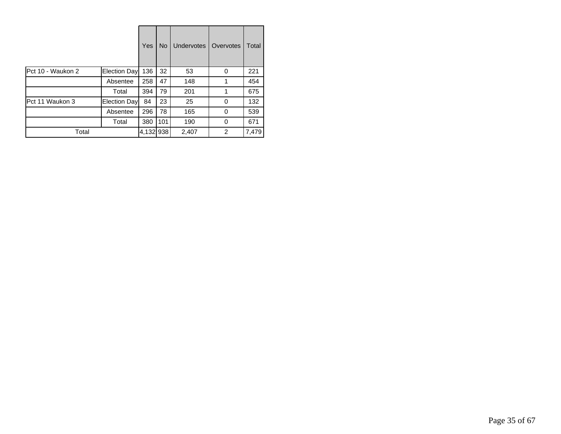|                   |                     | Yes       | <b>No</b> | <b>Undervotes</b> | Overvotes | Total |
|-------------------|---------------------|-----------|-----------|-------------------|-----------|-------|
| Pct 10 - Waukon 2 | <b>Election Day</b> | 136       | 32        | 53                | 0         | 221   |
|                   | Absentee            | 258       | 47        | 148               | 1         | 454   |
|                   | Total               | 394       | 79        | 201               |           | 675   |
| Pct 11 Waukon 3   | Election Day        | 84        | 23        | 25                | 0         | 132   |
|                   | Absentee            | 296       | 78        | 165               | 0         | 539   |
|                   | Total               | 380       | 101       | 190               | 0         | 671   |
| Total             |                     | 4,132 938 |           | 2,407             | 2         | 7,479 |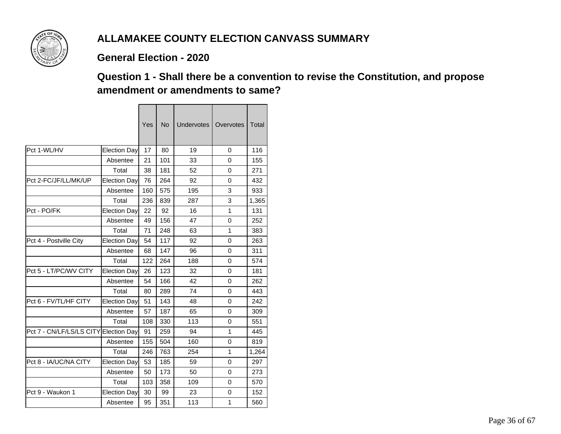

#### **General Election - 2020**

 $\blacksquare$ 

### **Question 1 - Shall there be a convention to revise the Constitution, and propose amendment or amendments to same?**

|                                       |                     | Yes | <b>No</b> | <b>Undervotes</b> | Overvotes | Total |
|---------------------------------------|---------------------|-----|-----------|-------------------|-----------|-------|
| Pct 1-WL/HV                           | Election Day        | 17  | 80        | 19                | $\Omega$  | 116   |
|                                       | Absentee            | 21  | 101       | 33                | 0         | 155   |
|                                       | Total               | 38  | 181       | 52                | 0         | 271   |
| Pct 2-FC/JF/LL/MK/UP                  | <b>Election Day</b> | 76  | 264       | 92                | 0         | 432   |
|                                       | Absentee            | 160 | 575       | 195               | 3         | 933   |
|                                       | Total               | 236 | 839       | 287               | 3         | 1,365 |
| Pct - PO/FK                           | Election Day        | 22  | 92        | 16                | 1         | 131   |
|                                       | Absentee            | 49  | 156       | 47                | 0         | 252   |
|                                       | Total               | 71  | 248       | 63                | 1         | 383   |
| Pct 4 - Postville City                | Election Day        | 54  | 117       | 92                | 0         | 263   |
|                                       | Absentee            | 68  | 147       | 96                | 0         | 311   |
|                                       | Total               | 122 | 264       | 188               | 0         | 574   |
| Pct 5 - LT/PC/WV CITY                 | Election Day        | 26  | 123       | 32                | $\Omega$  | 181   |
|                                       | Absentee            | 54  | 166       | 42                | 0         | 262   |
|                                       | Total               | 80  | 289       | 74                | 0         | 443   |
| Pct 6 - FV/TL/HF CITY                 | <b>Election Day</b> | 51  | 143       | 48                | 0         | 242   |
|                                       | Absentee            | 57  | 187       | 65                | 0         | 309   |
|                                       | Total               | 108 | 330       | 113               | 0         | 551   |
| Pct 7 - CN/LF/LS/LS CITY Election Day |                     | 91  | 259       | 94                | 1         | 445   |
|                                       | Absentee            | 155 | 504       | 160               | 0         | 819   |
|                                       | Total               | 246 | 763       | 254               | 1         | 1,264 |
| Pct 8 - IA/UC/NA CITY                 | <b>Election Dav</b> | 53  | 185       | 59                | 0         | 297   |
|                                       | Absentee            | 50  | 173       | 50                | 0         | 273   |
|                                       | Total               | 103 | 358       | 109               | 0         | 570   |
| Pct 9 - Waukon 1                      | Election Day        | 30  | 99        | 23                | $\Omega$  | 152   |
|                                       | Absentee            | 95  | 351       | 113               | 1         | 560   |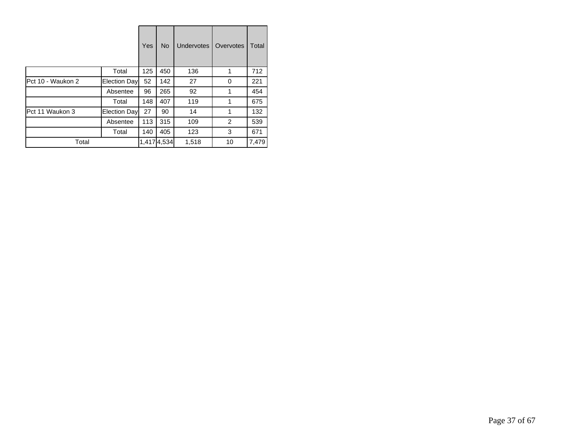|                   |              | Yes | <b>No</b>   | <b>Undervotes</b> | Overvotes | Total |
|-------------------|--------------|-----|-------------|-------------------|-----------|-------|
|                   | Total        | 125 | 450         | 136               | 1         | 712   |
| Pct 10 - Waukon 2 | Election Day | 52  | 142         | 27                | 0         | 221   |
|                   | Absentee     | 96  | 265         | 92                | 1         | 454   |
|                   | Total        | 148 | 407         | 119               | 1         | 675   |
| Pct 11 Waukon 3   | Election Day | 27  | 90          | 14                | 1         | 132   |
|                   | Absentee     | 113 | 315         | 109               | 2         | 539   |
|                   | Total        | 140 | 405         | 123               | 3         | 671   |
| Total             |              |     | 1,417 4,534 | 1,518             | 10        | 7,479 |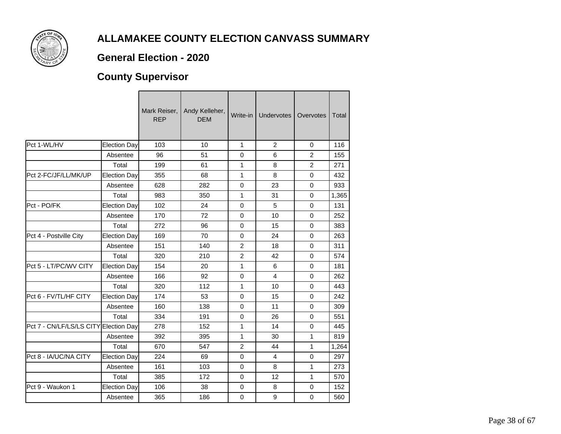

#### **General Election - 2020**

# **County Supervisor**

|                                       |                     | Mark Reiser,<br><b>REP</b> | Andy Kelleher,<br><b>DEM</b> | Write-in       | Undervotes     | Overvotes      | Total |
|---------------------------------------|---------------------|----------------------------|------------------------------|----------------|----------------|----------------|-------|
| Pct 1-WL/HV                           | <b>Election Day</b> | 103                        | 10                           | $\mathbf{1}$   | 2              | 0              | 116   |
|                                       | Absentee            | 96                         | 51                           | 0              | 6              | $\overline{2}$ | 155   |
|                                       | Total               | 199                        | 61                           | 1              | 8              | $\overline{2}$ | 271   |
| Pct 2-FC/JF/LL/MK/UP                  | <b>Election Day</b> | 355                        | 68                           | 1              | 8              | $\mathbf 0$    | 432   |
|                                       | Absentee            | 628                        | 282                          | $\mathbf 0$    | 23             | $\mathbf 0$    | 933   |
|                                       | Total               | 983                        | 350                          | 1              | 31             | $\Omega$       | 1,365 |
| Pct - PO/FK                           | <b>Election Day</b> | 102                        | 24                           | 0              | 5              | $\Omega$       | 131   |
|                                       | Absentee            | 170                        | 72                           | $\mathbf 0$    | 10             | $\mathbf 0$    | 252   |
|                                       | Total               | 272                        | 96                           | $\mathbf 0$    | 15             | $\mathbf 0$    | 383   |
| Pct 4 - Postville City                | <b>Election Day</b> | 169                        | 70                           | $\Omega$       | 24             | 0              | 263   |
|                                       | Absentee            | 151                        | 140                          | $\overline{2}$ | 18             | $\Omega$       | 311   |
|                                       | Total               | 320                        | 210                          | $\overline{2}$ | 42             | $\mathbf 0$    | 574   |
| Pct 5 - LT/PC/WV CITY                 | <b>Election Day</b> | 154                        | 20                           | 1              | 6              | $\mathbf 0$    | 181   |
|                                       | Absentee            | 166                        | 92                           | 0              | $\overline{4}$ | 0              | 262   |
|                                       | Total               | 320                        | 112                          | 1              | 10             | $\Omega$       | 443   |
| Pct 6 - FV/TL/HF CITY                 | <b>Election Day</b> | 174                        | 53                           | $\mathbf 0$    | 15             | $\mathbf 0$    | 242   |
|                                       | Absentee            | 160                        | 138                          | $\mathbf 0$    | 11             | $\mathbf 0$    | 309   |
|                                       | Total               | 334                        | 191                          | 0              | 26             | $\mathbf 0$    | 551   |
| Pct 7 - CN/LF/LS/LS CITY Election Day |                     | 278                        | 152                          | 1              | 14             | $\mathbf 0$    | 445   |
|                                       | Absentee            | 392                        | 395                          | 1              | 30             | 1              | 819   |
|                                       | Total               | 670                        | 547                          | $\overline{c}$ | 44             | 1              | 1,264 |
| Pct 8 - IA/UC/NA CITY                 | <b>Election Day</b> | 224                        | 69                           | $\mathbf 0$    | $\overline{4}$ | $\mathbf 0$    | 297   |
|                                       | Absentee            | 161                        | 103                          | 0              | 8              | 1              | 273   |
|                                       | Total               | 385                        | 172                          | $\mathbf 0$    | 12             | $\mathbf{1}$   | 570   |
| Pct 9 - Waukon 1                      | <b>Election Day</b> | 106                        | 38                           | 0              | 8              | 0              | 152   |
|                                       | Absentee            | 365                        | 186                          | 0              | 9              | $\mathbf 0$    | 560   |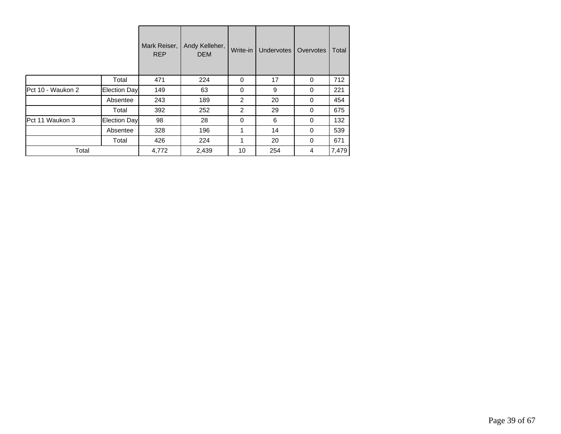|                   |              | Mark Reiser,<br><b>REP</b> | Andy Kelleher,<br><b>DEM</b> | Write-in | Undervotes | Overvotes | Total |
|-------------------|--------------|----------------------------|------------------------------|----------|------------|-----------|-------|
|                   | Total        | 471                        | 224                          | 0        | 17         | 0         | 712   |
| Pct 10 - Waukon 2 | Election Day | 149                        | 63                           | 0        | 9          | 0         | 221   |
|                   | Absentee     | 243                        | 189                          | 2        | 20         | 0         | 454   |
|                   | Total        | 392                        | 252                          | 2        | 29         | 0         | 675   |
| Pct 11 Waukon 3   | Election Day | 98                         | 28                           | 0        | 6          | 0         | 132   |
|                   | Absentee     | 328                        | 196                          | 1        | 14         | $\Omega$  | 539   |
|                   | Total        | 426                        | 224                          | 1        | 20         | 0         | 671   |
| Total             |              | 4,772                      | 2,439                        | 10       | 254        | 4         | 7,479 |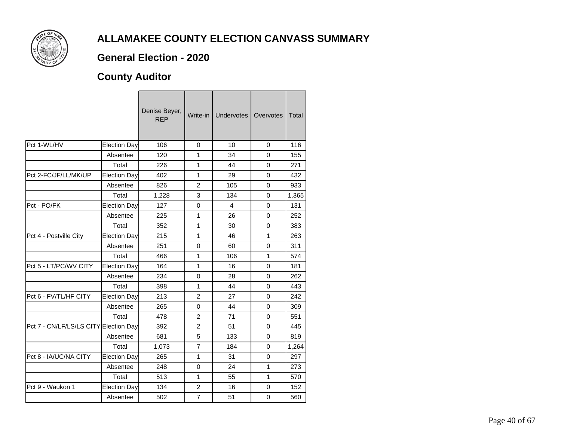

### **General Election - 2020**

## **County Auditor**

|                                       |                     | Denise Beyer,<br><b>REP</b> | Write-in       | <b>Undervotes</b> | Overvotes    | Total |
|---------------------------------------|---------------------|-----------------------------|----------------|-------------------|--------------|-------|
| Pct 1-WL/HV                           | Election Day        | 106                         | $\Omega$       | 10                | $\Omega$     | 116   |
|                                       | Absentee            | 120                         | 1              | 34                | $\Omega$     | 155   |
|                                       | Total               | 226                         | 1              | 44                | $\mathbf 0$  | 271   |
| Pct 2-FC/JF/LL/MK/UP                  | <b>Election Day</b> | 402                         | 1              | 29                | $\mathbf 0$  | 432   |
|                                       | Absentee            | 826                         | $\overline{2}$ | 105               | 0            | 933   |
|                                       | Total               | 1,228                       | 3              | 134               | $\Omega$     | 1,365 |
| Pct - PO/FK                           | <b>Election Day</b> | 127                         | $\mathbf 0$    | 4                 | $\Omega$     | 131   |
|                                       | Absentee            | 225                         | 1              | 26                | $\Omega$     | 252   |
|                                       | Total               | 352                         | 1              | 30                | 0            | 383   |
| Pct 4 - Postville City                | Election Day        | 215                         | 1              | 46                | $\mathbf{1}$ | 263   |
|                                       | Absentee            | 251                         | $\mathbf 0$    | 60                | $\Omega$     | 311   |
|                                       | Total               | 466                         | 1              | 106               | 1            | 574   |
| Pct 5 - LT/PC/WV CITY                 | Election Day        | 164                         | 1              | 16                | $\Omega$     | 181   |
|                                       | Absentee            | 234                         | $\mathbf 0$    | 28                | $\Omega$     | 262   |
|                                       | Total               | 398                         | 1              | 44                | $\Omega$     | 443   |
| Pct 6 - FV/TL/HF CITY                 | <b>Election Day</b> | 213                         | $\overline{2}$ | 27                | $\mathbf 0$  | 242   |
|                                       | Absentee            | 265                         | $\mathbf 0$    | 44                | $\mathbf 0$  | 309   |
|                                       | Total               | 478                         | $\overline{2}$ | 71                | $\Omega$     | 551   |
| Pct 7 - CN/LF/LS/LS CITY Election Day |                     | 392                         | $\overline{2}$ | 51                | 0            | 445   |
|                                       | Absentee            | 681                         | 5              | 133               | $\mathbf 0$  | 819   |
|                                       | Total               | 1,073                       | $\overline{7}$ | 184               | $\Omega$     | 1,264 |
| Pct 8 - IA/UC/NA CITY                 | Election Day        | 265                         | 1              | 31                | $\Omega$     | 297   |
|                                       | Absentee            | 248                         | $\mathbf 0$    | 24                | 1            | 273   |
|                                       | Total               | 513                         | 1              | 55                | 1            | 570   |
| Pct 9 - Waukon 1                      | <b>Election Day</b> | 134                         | $\overline{2}$ | 16                | $\mathbf 0$  | 152   |
|                                       | Absentee            | 502                         | $\overline{7}$ | 51                | $\mathbf 0$  | 560   |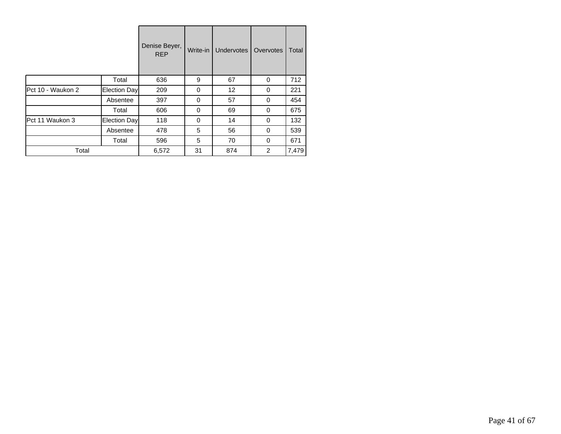|                   |              | Denise Beyer,<br><b>REP</b> | Write-in | <b>Undervotes</b> | Overvotes | Total |
|-------------------|--------------|-----------------------------|----------|-------------------|-----------|-------|
|                   | Total        | 636                         | 9        | 67                | 0         | 712   |
| Pct 10 - Waukon 2 | Election Day | 209                         | 0        | 12                | 0         | 221   |
|                   | Absentee     | 397                         | 0        | 57                | 0         | 454   |
|                   | Total        | 606                         | 0        | 69                | 0         | 675   |
| Pct 11 Waukon 3   | Election Day | 118                         | 0        | 14                | 0         | 132   |
|                   | Absentee     | 478                         | 5        | 56                | $\Omega$  | 539   |
|                   | Total        | 596                         | 5        | 70                | $\Omega$  | 671   |
| Total             |              | 6,572                       | 31       | 874               | 2         | 7,479 |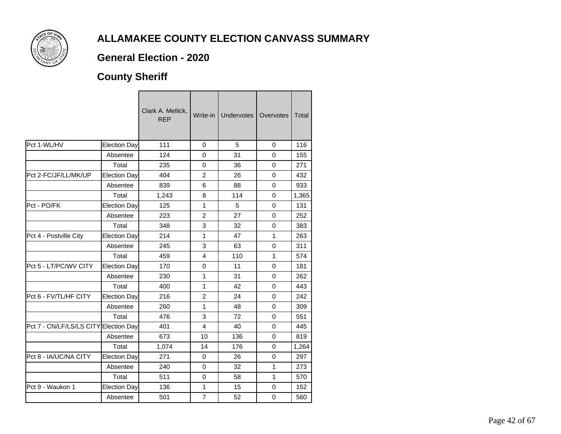

### **General Election - 2020**

## **County Sheriff**

|                          |                     | Clark A. Mellick,<br><b>REP</b> | Write-in I     | Undervotes | Overvotes      | Total |
|--------------------------|---------------------|---------------------------------|----------------|------------|----------------|-------|
| Pct 1-WL/HV              | Election Day        | 111                             | 0              | 5          | 0              | 116   |
|                          | Absentee            | 124                             | $\overline{0}$ | 31         | $\overline{0}$ | 155   |
|                          | Total               | 235                             | $\mathbf 0$    | 36         | 0              | 271   |
| Pct 2-FC/JF/LL/MK/UP     | <b>Election Day</b> | 404                             | 2              | 26         | 0              | 432   |
|                          | Absentee            | 839                             | 6              | 88         | 0              | 933   |
|                          | Total               | 1,243                           | 8              | 114        | $\Omega$       | 1,365 |
| Pct - PO/FK              | <b>Election Day</b> | 125                             | 1              | 5          | 0              | 131   |
|                          | Absentee            | 223                             | $\overline{2}$ | 27         | 0              | 252   |
|                          | Total               | 348                             | 3              | 32         | 0              | 383   |
| Pct 4 - Postville City   | <b>Election Day</b> | 214                             | 1              | 47         | 1              | 263   |
|                          | Absentee            | 245                             | 3              | 63         | 0              | 311   |
|                          | Total               | 459                             | 4              | 110        | 1              | 574   |
| Pct 5 - LT/PC/WV CITY    | <b>Election Day</b> | 170                             | 0              | 11         | $\Omega$       | 181   |
|                          | Absentee            | 230                             | 1              | 31         | $\Omega$       | 262   |
|                          | Total               | 400                             | 1              | 42         | 0              | 443   |
| Pct 6 - FV/TL/HF CITY    | <b>Election Day</b> | 216                             | $\overline{2}$ | 24         | $\overline{0}$ | 242   |
|                          | Absentee            | 260                             | 1              | 48         | 0              | 309   |
|                          | Total               | 476                             | 3              | 72         | 0              | 551   |
| Pct 7 - CN/LF/LS/LS CITY | Election Day        | 401                             | 4              | 40         | 0              | 445   |
|                          | Absentee            | 673                             | 10             | 136        | $\Omega$       | 819   |
|                          | Total               | 1,074                           | 14             | 176        | $\Omega$       | 1,264 |
| Pct 8 - IA/UC/NA CITY    | Election Day        | 271                             | 0              | 26         | 0              | 297   |
|                          | Absentee            | 240                             | $\mathbf 0$    | 32         | 1              | 273   |
|                          | Total               | 511                             | $\mathbf 0$    | 58         | 1              | 570   |
| Pct 9 - Waukon 1         | <b>Election Day</b> | 136                             | 1              | 15         | 0              | 152   |
|                          | Absentee            | 501                             | $\overline{7}$ | 52         | 0              | 560   |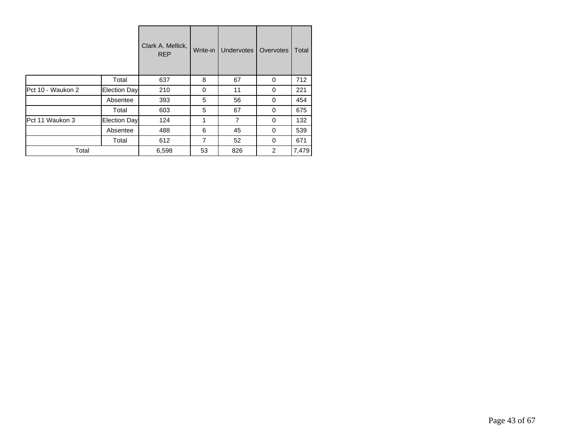|                   |              | Clark A. Mellick,<br><b>REP</b> | Write-in | <b>Undervotes</b> | Overvotes      | Total |
|-------------------|--------------|---------------------------------|----------|-------------------|----------------|-------|
|                   | Total        | 637                             | 8        | 67                | 0              | 712   |
| Pct 10 - Waukon 2 | Election Day | 210                             | 0        | 11                | 0              | 221   |
|                   | Absentee     | 393                             | 5        | 56                | 0              | 454   |
|                   | Total        | 603                             | 5        | 67                | 0              | 675   |
| Pct 11 Waukon 3   | Election Day | 124                             | 1        | 7                 | 0              | 132   |
|                   | Absentee     | 488                             | 6        | 45                | 0              | 539   |
|                   | Total        | 612                             | 7        | 52                | 0              | 671   |
| Total             |              | 6,598                           | 53       | 826               | $\overline{2}$ | 7,479 |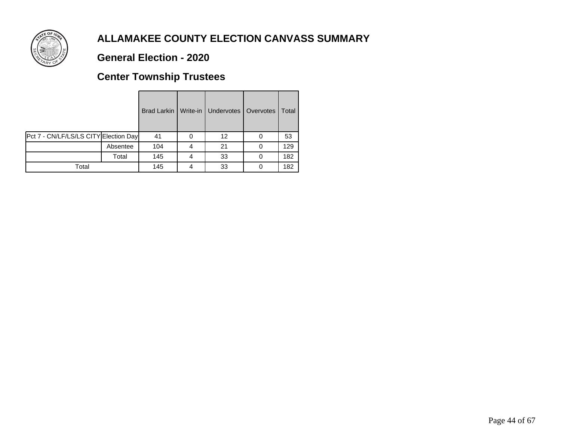

### **General Election - 2020**

## **Center Township Trustees**

|                                       |          | Brad Larkin | Write-in   Undervotes   Overvotes | Total |
|---------------------------------------|----------|-------------|-----------------------------------|-------|
| Pct 7 - CN/LF/LS/LS CITY Election Day |          | 41          | 12                                | 53    |
|                                       | Absentee | 104         | 21                                | 129   |
|                                       | Total    | 145         | 33                                | 182   |
| Total                                 |          | 145         | 33                                | 182   |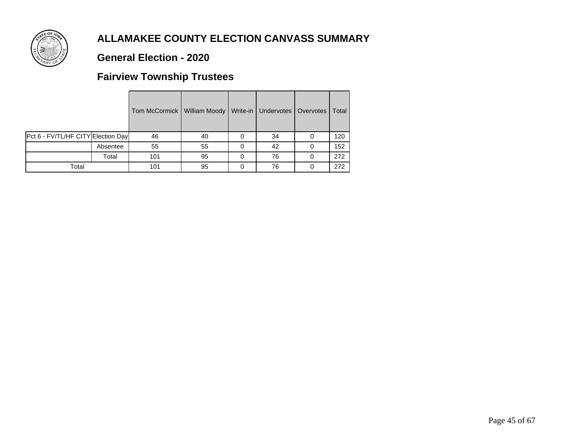

### **General Election - 2020**

## **Fairview Township Trustees**

|                                    |          | Tom McCormick   William Moody   Write-in   Undervotes   Overvotes |    |    | Total |
|------------------------------------|----------|-------------------------------------------------------------------|----|----|-------|
| Pct 6 - FV/TL/HF CITY Election Day |          | 46                                                                | 40 | 34 | 120   |
|                                    | Absentee | 55                                                                | 55 | 42 | 152   |
|                                    | Total    | 101                                                               | 95 | 76 | 272   |
| Total                              |          | 101                                                               | 95 | 76 | 272   |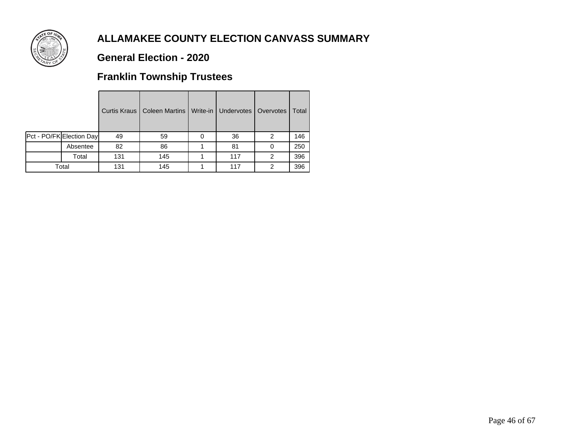

### **General Election - 2020**

## **Franklin Township Trustees**

|                          |     | Curtis Kraus   Coleen Martins   Write-in | <b>Undervotes</b> | Overvotes | Total |
|--------------------------|-----|------------------------------------------|-------------------|-----------|-------|
| Pct - PO/FK Election Day | 49  | 59                                       | 36                | 2         | 146   |
| Absentee                 | 82  | 86                                       | 81                | 0         | 250   |
| Total                    | 131 | 145                                      | 117               | 2         | 396   |
| Total                    | 131 | 145                                      | 117               | 2         | 396   |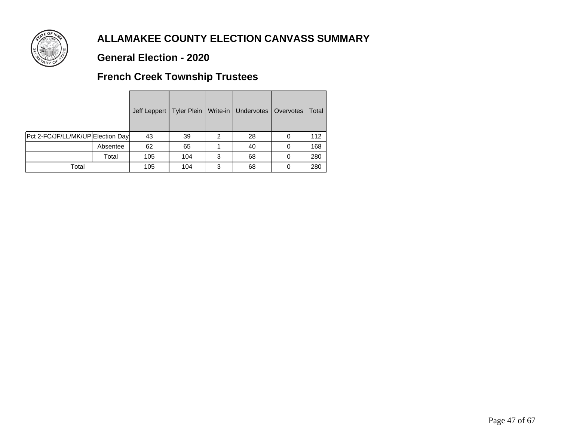

### **General Election - 2020**

## **French Creek Township Trustees**

|                                   |          |     |     |   | Jeff Leppert   Tyler Plein   Write-in   Undervotes   Overvotes |   | Total |
|-----------------------------------|----------|-----|-----|---|----------------------------------------------------------------|---|-------|
| Pct 2-FC/JF/LL/MK/UP Election Day |          | 43  | 39  | 2 | 28                                                             |   | 112   |
|                                   | Absentee | 62  | 65  |   | 40                                                             | 0 | 168   |
|                                   | Total    | 105 | 104 | 3 | 68                                                             |   | 280   |
| Total                             |          | 105 | 104 | 3 | 68                                                             |   | 280   |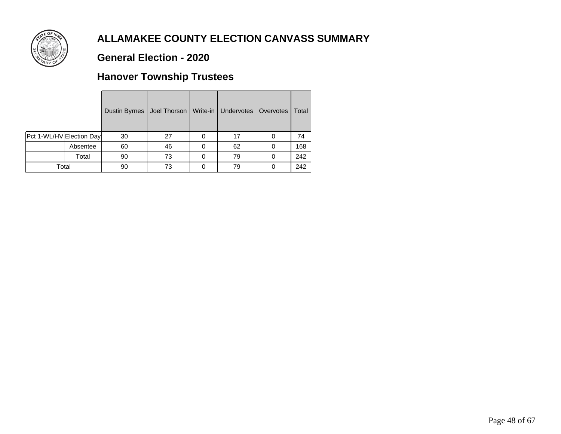

### **General Election - 2020**

## **Hanover Township Trustees**

|                          |          | Dustin Byrnes | Joel Thorson   Write-in   Undervotes |   |    | Overvotes | Total |
|--------------------------|----------|---------------|--------------------------------------|---|----|-----------|-------|
| Pct 1-WL/HV Election Day |          | 30            | 27                                   | 0 | 17 |           | 74    |
|                          | Absentee | 60            | 46                                   | 0 | 62 |           | 168   |
|                          | Total    | 90            | 73                                   | 0 | 79 |           | 242   |
| Total                    |          | 90            | 73                                   |   | 79 |           | 242   |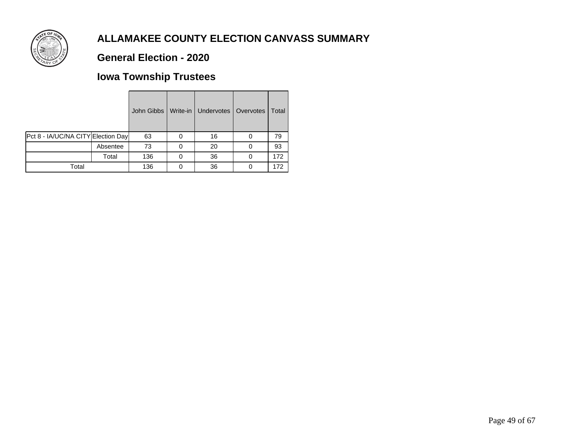

### **General Election - 2020**

## **Iowa Township Trustees**

|                                    |          | John Gibbs | Write-in   Undervotes   Overvotes | Total |
|------------------------------------|----------|------------|-----------------------------------|-------|
| Pct 8 - IA/UC/NA CITY Election Day |          | 63         | 16                                | 79    |
|                                    | Absentee | 73         | 20                                | 93    |
|                                    | Total    | 136        | 36                                | 172   |
| Total                              |          | 136        | 36                                | 172   |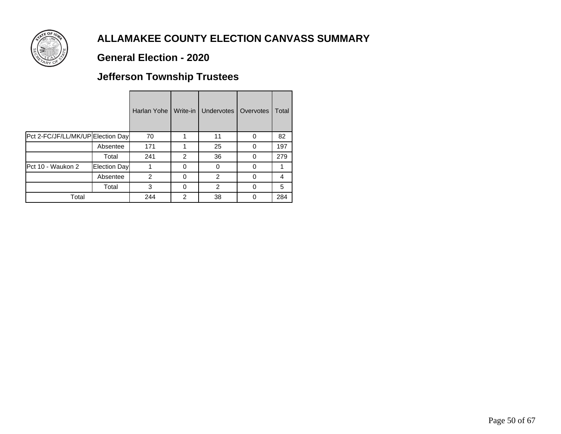

### **General Election - 2020**

## **Jefferson Township Trustees**

|                                   |              | Harlan Yohe    | Write-in       | Undervotes   | Overvotes | Total |
|-----------------------------------|--------------|----------------|----------------|--------------|-----------|-------|
| Pct 2-FC/JF/LL/MK/UP Election Day |              | 70             |                | 11           | 0         | 82    |
|                                   | Absentee     | 171            |                | 25           | 0         | 197   |
|                                   | Total        | 241            | $\overline{2}$ | 36           | 0         | 279   |
| Pct 10 - Waukon 2                 | Election Day |                | 0              | <sup>0</sup> | U         |       |
|                                   | Absentee     | $\overline{2}$ | 0              | 2            | 0         | 4     |
|                                   | Total        | 3              | 0              | 2            | $\Omega$  | 5     |
| Total                             |              | 244            | 2              | 38           | 0         | 284   |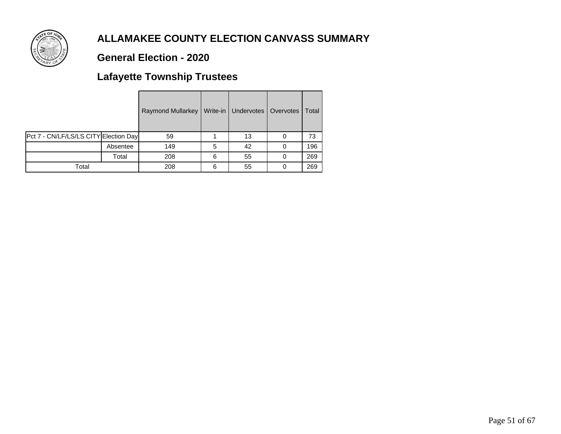

### **General Election - 2020**

## **Lafayette Township Trustees**

|                                       |          | <b>Raymond Mullarkey</b> |   | Write-in   Undervotes   Overvotes | Total |
|---------------------------------------|----------|--------------------------|---|-----------------------------------|-------|
| Pct 7 - CN/LF/LS/LS CITY Election Day |          | 59                       |   | 13                                | 73    |
|                                       | Absentee | 149                      | 5 | 42                                | 196   |
|                                       | Total    | 208                      | 6 | 55                                | 269   |
| Total                                 |          | 208                      | 6 | 55                                | 269   |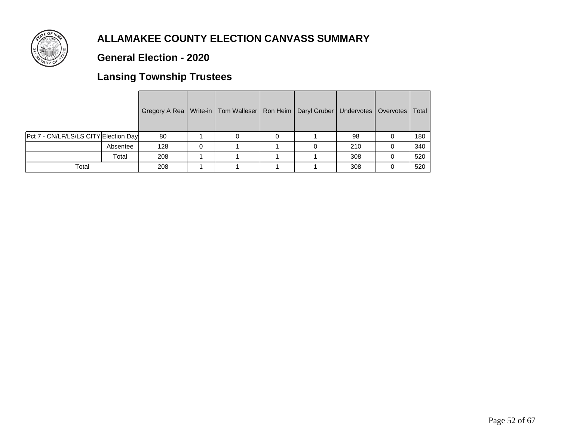

### **General Election - 2020**

## **Lansing Township Trustees**

|                                       |          | Gregory A Rea   Write-in   Tom Walleser   Ron Heim   Daryl Gruber   Undervotes   Overvotes   Total |  |  |     |   |     |
|---------------------------------------|----------|----------------------------------------------------------------------------------------------------|--|--|-----|---|-----|
| Pct 7 - CN/LF/LS/LS CITY Election Day |          | 80                                                                                                 |  |  | 98  |   | 180 |
|                                       | Absentee | 128                                                                                                |  |  | 210 | 0 | 340 |
|                                       | Total    | 208                                                                                                |  |  | 308 |   | 520 |
| Total                                 |          | 208                                                                                                |  |  | 308 |   | 520 |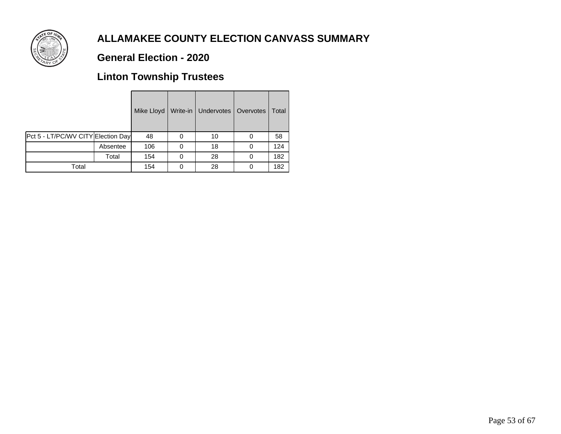

### **General Election - 2020**

## **Linton Township Trustees**

|                                    |          | Mike Lloyd | Write-in | Undervotes   Overvotes |   | Total |
|------------------------------------|----------|------------|----------|------------------------|---|-------|
| Pct 5 - LT/PC/WV CITY Election Day |          | 48         |          | 10                     | 0 | 58    |
|                                    | Absentee | 106        |          | 18                     |   | 124   |
|                                    | Total    | 154        |          | 28                     |   | 182   |
| Total                              |          | 154        |          | 28                     |   | 182   |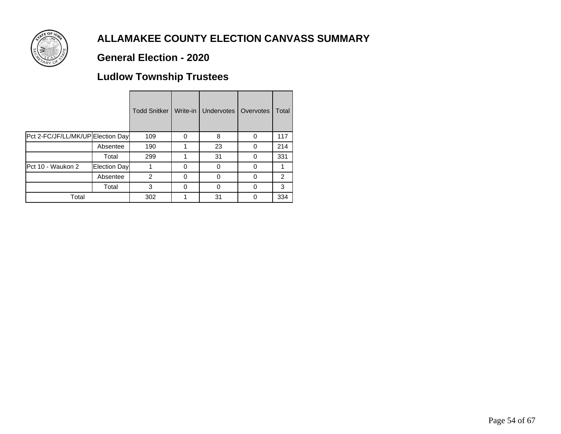

### **General Election - 2020**

## **Ludlow Township Trustees**

|                                   |              | <b>Todd Snitker</b> | Write-in | <b>Undervotes</b> | Overvotes | Total |
|-----------------------------------|--------------|---------------------|----------|-------------------|-----------|-------|
| Pct 2-FC/JF/LL/MK/UP Election Day |              | 109                 | 0        | 8                 | 0         | 117   |
|                                   | Absentee     | 190                 |          | 23                | 0         | 214   |
|                                   | Total        | 299                 | 1        | 31                | 0         | 331   |
| Pct 10 - Waukon 2                 | Election Day |                     | ŋ        | ი                 | O         | 1     |
|                                   | Absentee     | 2                   | 0        | $\Omega$          | 0         | 2     |
|                                   | Total        | 3                   | 0        | ი                 | 0         | 3     |
| Total                             |              | 302                 |          | 31                |           | 334   |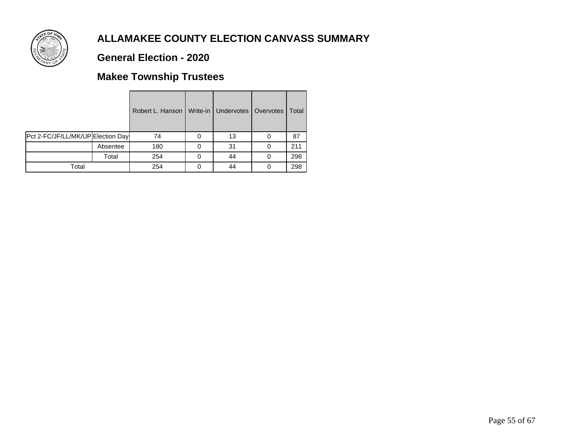

### **General Election - 2020**

## **Makee Township Trustees**

|                                   |          | Robert L. Hanson | Write-in   Undervotes   Overvotes | Total |
|-----------------------------------|----------|------------------|-----------------------------------|-------|
| Pct 2-FC/JF/LL/MK/UP Election Day |          | 74               | 13                                | 87    |
|                                   | Absentee | 180              | 31                                | 211   |
|                                   | Total    | 254              | 44                                | 298   |
| Total                             |          | 254              | 44                                | 298   |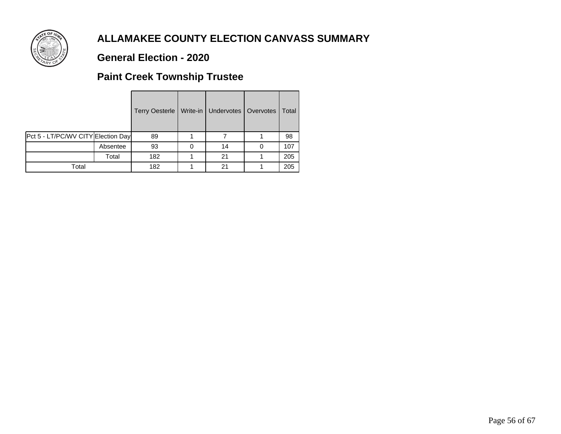

### **General Election - 2020**

## **Paint Creek Township Trustee**

|                                    |          | <b>Terry Oesterle</b> | Write-in   Undervotes   Overvotes | Total |
|------------------------------------|----------|-----------------------|-----------------------------------|-------|
| Pct 5 - LT/PC/WV CITY Election Day |          | 89                    |                                   | 98    |
|                                    | Absentee | 93                    | 14                                | 107   |
|                                    | Total    | 182                   | 21                                | 205   |
| Total                              |          | 182                   | 21                                | 205   |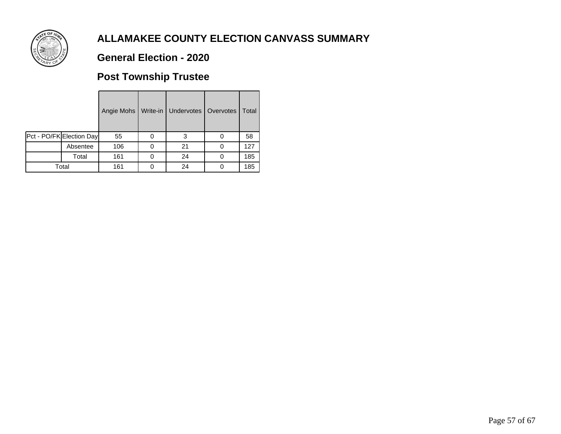

### **General Election - 2020**

## **Post Township Trustee**

|                          | Angie Mohs | Write-in   Undervotes   Overvotes | Total |
|--------------------------|------------|-----------------------------------|-------|
| Pct - PO/FK Election Day | 55         | 3                                 | 58    |
| Absentee                 | 106        | 21                                | 127   |
| Total                    | 161        | 24                                | 185   |
| Total                    | 161        | 24                                | 185   |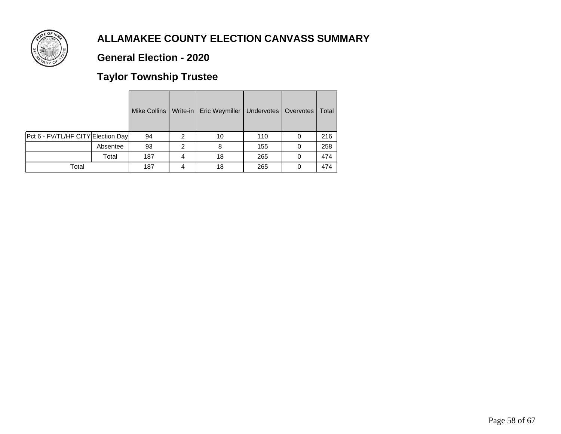

### **General Election - 2020**

# **Taylor Township Trustee**

|                                    |          | Mike Collins | Write-in | Eric Weymiller | Undervotes | Overvotes | Total |
|------------------------------------|----------|--------------|----------|----------------|------------|-----------|-------|
| Pct 6 - FV/TL/HF CITY Election Day |          | 94           | 2        | 10             | 110        |           | 216   |
|                                    | Absentee | 93           | 2        | 8              | 155        |           | 258   |
|                                    | Total    | 187          | 4        | 18             | 265        |           | 474   |
| Total                              |          | 187          | 4        | 18             | 265        |           | 474   |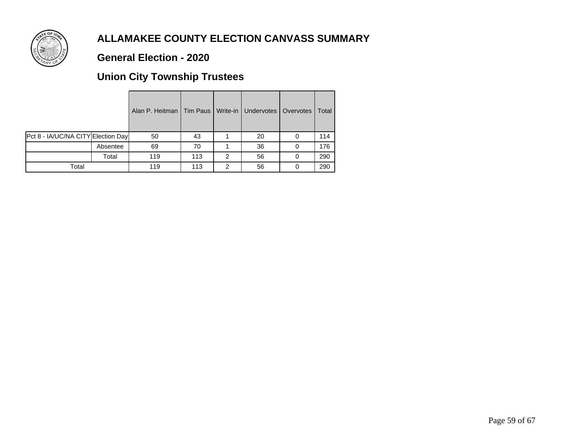

### **General Election - 2020**

## **Union City Township Trustees**

|                                    |          | Alan P. Heitman   Tim Paus   Write-in   Undervotes   Overvotes |     |   |    |   | Total |
|------------------------------------|----------|----------------------------------------------------------------|-----|---|----|---|-------|
| Pct 8 - IA/UC/NA CITY Election Day |          | 50                                                             | 43  |   | 20 |   | 114   |
|                                    | Absentee | 69                                                             | 70  |   | 36 | 0 | 176   |
|                                    | Total    | 119                                                            | 113 | 2 | 56 |   | 290   |
| Total                              |          | 119                                                            | 113 | 2 | 56 |   | 290   |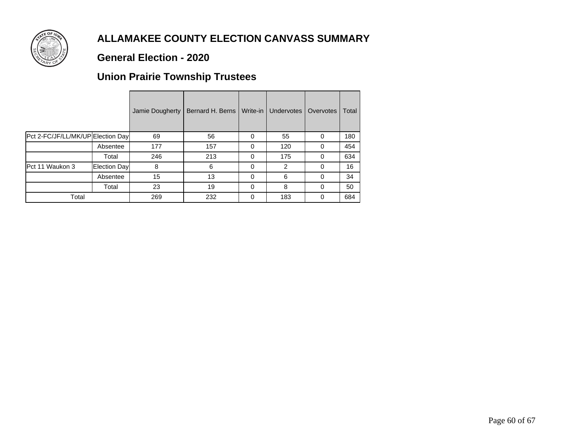

### **General Election - 2020**

## **Union Prairie Township Trustees**

|                                   |              | Jamie Dougherty | Bernard H. Berns | Write-in | Undervotes | Overvotes | Total |
|-----------------------------------|--------------|-----------------|------------------|----------|------------|-----------|-------|
| Pct 2-FC/JF/LL/MK/UP Election Day |              | 69              | 56               | $\Omega$ | 55         | 0         | 180   |
|                                   | Absentee     | 177             | 157              | $\Omega$ | 120        | 0         | 454   |
|                                   | Total        | 246             | 213              | 0        | 175        | 0         | 634   |
| Pct 11 Waukon 3                   | Election Day | 8               | 6                | $\Omega$ | 2          | 0         | 16    |
|                                   | Absentee     | 15              | 13               | 0        | 6          | $\Omega$  | 34    |
|                                   | Total        | 23              | 19               | $\Omega$ | 8          | $\Omega$  | 50    |
| Total                             |              | 269             | 232              | ∩        | 183        | 0         | 684   |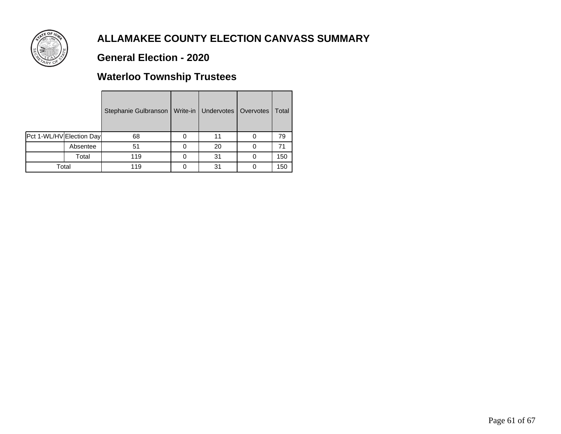

### **General Election - 2020**

## **Waterloo Township Trustees**

|                          |          | Stephanie Gulbranson | Write-in   Undervotes   Overvotes | Total |
|--------------------------|----------|----------------------|-----------------------------------|-------|
| Pct 1-WL/HV Election Day |          | 68                   | 11                                | 79    |
|                          | Absentee | 51                   | 20                                | 71    |
|                          | Total    | 119                  | 31                                | 150   |
| Total                    |          | 119                  | 31                                | 150   |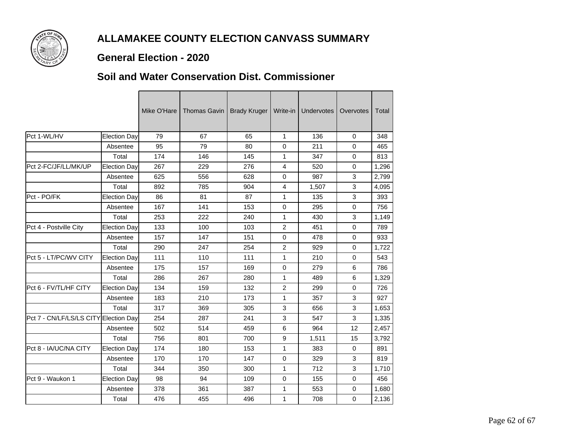

### **General Election - 2020**

#### **Soil and Water Conservation Dist. Commissioner**

| Pct 1-WL/HV<br><b>Election Day</b><br>79<br>67<br>65<br>$\mathbf{1}$<br>136<br>$\mathbf 0$<br>95<br>79<br>80<br>0<br>211<br>0<br>Absentee<br>Total<br>174<br>146<br>145<br>347<br>1<br>0<br>Pct 2-FC/JF/LL/MK/UP<br><b>Election Day</b><br>267<br>229<br>276<br>4<br>520<br>$\Omega$<br>3<br>625<br>628<br>0<br>987<br>Absentee<br>556<br>Total<br>904<br>3<br>892<br>785<br>$\overline{4}$<br>1,507<br>3<br>1<br>Pct - PO/FK<br><b>Election Day</b><br>86<br>81<br>87<br>135<br>167<br>141<br>153<br>0<br>0<br>Absentee<br>295<br>Total<br>253<br>3<br>222<br>240<br>$\mathbf{1}$<br>430<br>$\overline{2}$<br><b>Election Day</b><br>133<br>100<br>103<br>451<br>0<br>Pct 4 - Postville City<br>157<br>151<br>147<br>0<br>478<br>0<br>Absentee<br>Total<br>290<br>254<br>$\overline{2}$<br>0<br>247<br>929<br>Pct 5 - LT/PC/WV CITY<br><b>Election Day</b><br>111<br>110<br>111<br>$\mathbf{1}$<br>210<br>$\mathbf 0$<br>175<br>169<br>0<br>6<br>Absentee<br>157<br>279<br>Total<br>286<br>267<br>280<br>489<br>6<br>1<br>$\overline{2}$<br>Pct 6 - FV/TL/HF CITY<br>134<br>159<br>299<br><b>Election Day</b><br>132<br>$\Omega$<br>183<br>210<br>173<br>3<br>Absentee<br>$\mathbf{1}$<br>357<br>Total<br>317<br>369<br>305<br>3<br>3<br>656<br>3<br>Pct 7 - CN/LF/LS/LS CITY Election Day<br>254<br>3<br>287<br>241<br>547<br>502<br>514<br>459<br>6<br>964<br>12<br>Absentee<br>Total<br>756<br>700<br>9<br>15<br>801<br>1,511<br><b>IPct 8 - IA/UC/NA CITY</b><br><b>Election Day</b><br>174<br>180<br>153<br>$\mathbf{1}$<br>383<br>$\Omega$<br>170<br>170<br>147<br>$\Omega$<br>329<br>3<br>Absentee<br>Total<br>344<br>3<br>350<br>300<br>$\mathbf{1}$<br>712<br>Pct 9 - Waukon 1<br><b>Election Day</b><br>98<br>94<br>109<br>$\mathbf 0$<br>155<br>0<br>378<br>1<br>0<br>Absentee<br>361<br>387<br>553 |  |       | Mike O'Hare | Thomas Gavin | <b>Brady Kruger</b> | Write-in     | Undervotes | Overvotes | Total |
|-----------------------------------------------------------------------------------------------------------------------------------------------------------------------------------------------------------------------------------------------------------------------------------------------------------------------------------------------------------------------------------------------------------------------------------------------------------------------------------------------------------------------------------------------------------------------------------------------------------------------------------------------------------------------------------------------------------------------------------------------------------------------------------------------------------------------------------------------------------------------------------------------------------------------------------------------------------------------------------------------------------------------------------------------------------------------------------------------------------------------------------------------------------------------------------------------------------------------------------------------------------------------------------------------------------------------------------------------------------------------------------------------------------------------------------------------------------------------------------------------------------------------------------------------------------------------------------------------------------------------------------------------------------------------------------------------------------------------------------------------------------------------------------------------------------------|--|-------|-------------|--------------|---------------------|--------------|------------|-----------|-------|
|                                                                                                                                                                                                                                                                                                                                                                                                                                                                                                                                                                                                                                                                                                                                                                                                                                                                                                                                                                                                                                                                                                                                                                                                                                                                                                                                                                                                                                                                                                                                                                                                                                                                                                                                                                                                                 |  |       |             |              |                     |              |            |           | 348   |
|                                                                                                                                                                                                                                                                                                                                                                                                                                                                                                                                                                                                                                                                                                                                                                                                                                                                                                                                                                                                                                                                                                                                                                                                                                                                                                                                                                                                                                                                                                                                                                                                                                                                                                                                                                                                                 |  |       |             |              |                     |              |            |           | 465   |
|                                                                                                                                                                                                                                                                                                                                                                                                                                                                                                                                                                                                                                                                                                                                                                                                                                                                                                                                                                                                                                                                                                                                                                                                                                                                                                                                                                                                                                                                                                                                                                                                                                                                                                                                                                                                                 |  |       |             |              |                     |              |            |           | 813   |
|                                                                                                                                                                                                                                                                                                                                                                                                                                                                                                                                                                                                                                                                                                                                                                                                                                                                                                                                                                                                                                                                                                                                                                                                                                                                                                                                                                                                                                                                                                                                                                                                                                                                                                                                                                                                                 |  |       |             |              |                     |              |            |           | 1,296 |
|                                                                                                                                                                                                                                                                                                                                                                                                                                                                                                                                                                                                                                                                                                                                                                                                                                                                                                                                                                                                                                                                                                                                                                                                                                                                                                                                                                                                                                                                                                                                                                                                                                                                                                                                                                                                                 |  |       |             |              |                     |              |            |           | 2,799 |
|                                                                                                                                                                                                                                                                                                                                                                                                                                                                                                                                                                                                                                                                                                                                                                                                                                                                                                                                                                                                                                                                                                                                                                                                                                                                                                                                                                                                                                                                                                                                                                                                                                                                                                                                                                                                                 |  |       |             |              |                     |              |            |           | 4,095 |
|                                                                                                                                                                                                                                                                                                                                                                                                                                                                                                                                                                                                                                                                                                                                                                                                                                                                                                                                                                                                                                                                                                                                                                                                                                                                                                                                                                                                                                                                                                                                                                                                                                                                                                                                                                                                                 |  |       |             |              |                     |              |            |           | 393   |
|                                                                                                                                                                                                                                                                                                                                                                                                                                                                                                                                                                                                                                                                                                                                                                                                                                                                                                                                                                                                                                                                                                                                                                                                                                                                                                                                                                                                                                                                                                                                                                                                                                                                                                                                                                                                                 |  |       |             |              |                     |              |            |           | 756   |
|                                                                                                                                                                                                                                                                                                                                                                                                                                                                                                                                                                                                                                                                                                                                                                                                                                                                                                                                                                                                                                                                                                                                                                                                                                                                                                                                                                                                                                                                                                                                                                                                                                                                                                                                                                                                                 |  |       |             |              |                     |              |            |           | 1,149 |
|                                                                                                                                                                                                                                                                                                                                                                                                                                                                                                                                                                                                                                                                                                                                                                                                                                                                                                                                                                                                                                                                                                                                                                                                                                                                                                                                                                                                                                                                                                                                                                                                                                                                                                                                                                                                                 |  |       |             |              |                     |              |            |           | 789   |
|                                                                                                                                                                                                                                                                                                                                                                                                                                                                                                                                                                                                                                                                                                                                                                                                                                                                                                                                                                                                                                                                                                                                                                                                                                                                                                                                                                                                                                                                                                                                                                                                                                                                                                                                                                                                                 |  |       |             |              |                     |              |            |           | 933   |
|                                                                                                                                                                                                                                                                                                                                                                                                                                                                                                                                                                                                                                                                                                                                                                                                                                                                                                                                                                                                                                                                                                                                                                                                                                                                                                                                                                                                                                                                                                                                                                                                                                                                                                                                                                                                                 |  |       |             |              |                     |              |            |           | 1,722 |
|                                                                                                                                                                                                                                                                                                                                                                                                                                                                                                                                                                                                                                                                                                                                                                                                                                                                                                                                                                                                                                                                                                                                                                                                                                                                                                                                                                                                                                                                                                                                                                                                                                                                                                                                                                                                                 |  |       |             |              |                     |              |            |           | 543   |
|                                                                                                                                                                                                                                                                                                                                                                                                                                                                                                                                                                                                                                                                                                                                                                                                                                                                                                                                                                                                                                                                                                                                                                                                                                                                                                                                                                                                                                                                                                                                                                                                                                                                                                                                                                                                                 |  |       |             |              |                     |              |            |           | 786   |
|                                                                                                                                                                                                                                                                                                                                                                                                                                                                                                                                                                                                                                                                                                                                                                                                                                                                                                                                                                                                                                                                                                                                                                                                                                                                                                                                                                                                                                                                                                                                                                                                                                                                                                                                                                                                                 |  |       |             |              |                     |              |            |           | 1,329 |
|                                                                                                                                                                                                                                                                                                                                                                                                                                                                                                                                                                                                                                                                                                                                                                                                                                                                                                                                                                                                                                                                                                                                                                                                                                                                                                                                                                                                                                                                                                                                                                                                                                                                                                                                                                                                                 |  |       |             |              |                     |              |            |           | 726   |
|                                                                                                                                                                                                                                                                                                                                                                                                                                                                                                                                                                                                                                                                                                                                                                                                                                                                                                                                                                                                                                                                                                                                                                                                                                                                                                                                                                                                                                                                                                                                                                                                                                                                                                                                                                                                                 |  |       |             |              |                     |              |            |           | 927   |
|                                                                                                                                                                                                                                                                                                                                                                                                                                                                                                                                                                                                                                                                                                                                                                                                                                                                                                                                                                                                                                                                                                                                                                                                                                                                                                                                                                                                                                                                                                                                                                                                                                                                                                                                                                                                                 |  |       |             |              |                     |              |            |           | 1,653 |
|                                                                                                                                                                                                                                                                                                                                                                                                                                                                                                                                                                                                                                                                                                                                                                                                                                                                                                                                                                                                                                                                                                                                                                                                                                                                                                                                                                                                                                                                                                                                                                                                                                                                                                                                                                                                                 |  |       |             |              |                     |              |            |           | 1,335 |
|                                                                                                                                                                                                                                                                                                                                                                                                                                                                                                                                                                                                                                                                                                                                                                                                                                                                                                                                                                                                                                                                                                                                                                                                                                                                                                                                                                                                                                                                                                                                                                                                                                                                                                                                                                                                                 |  |       |             |              |                     |              |            |           | 2,457 |
|                                                                                                                                                                                                                                                                                                                                                                                                                                                                                                                                                                                                                                                                                                                                                                                                                                                                                                                                                                                                                                                                                                                                                                                                                                                                                                                                                                                                                                                                                                                                                                                                                                                                                                                                                                                                                 |  |       |             |              |                     |              |            |           | 3,792 |
|                                                                                                                                                                                                                                                                                                                                                                                                                                                                                                                                                                                                                                                                                                                                                                                                                                                                                                                                                                                                                                                                                                                                                                                                                                                                                                                                                                                                                                                                                                                                                                                                                                                                                                                                                                                                                 |  |       |             |              |                     |              |            |           | 891   |
|                                                                                                                                                                                                                                                                                                                                                                                                                                                                                                                                                                                                                                                                                                                                                                                                                                                                                                                                                                                                                                                                                                                                                                                                                                                                                                                                                                                                                                                                                                                                                                                                                                                                                                                                                                                                                 |  |       |             |              |                     |              |            |           | 819   |
|                                                                                                                                                                                                                                                                                                                                                                                                                                                                                                                                                                                                                                                                                                                                                                                                                                                                                                                                                                                                                                                                                                                                                                                                                                                                                                                                                                                                                                                                                                                                                                                                                                                                                                                                                                                                                 |  |       |             |              |                     |              |            |           | 1,710 |
|                                                                                                                                                                                                                                                                                                                                                                                                                                                                                                                                                                                                                                                                                                                                                                                                                                                                                                                                                                                                                                                                                                                                                                                                                                                                                                                                                                                                                                                                                                                                                                                                                                                                                                                                                                                                                 |  |       |             |              |                     |              |            |           | 456   |
|                                                                                                                                                                                                                                                                                                                                                                                                                                                                                                                                                                                                                                                                                                                                                                                                                                                                                                                                                                                                                                                                                                                                                                                                                                                                                                                                                                                                                                                                                                                                                                                                                                                                                                                                                                                                                 |  |       |             |              |                     |              |            |           | 1,680 |
|                                                                                                                                                                                                                                                                                                                                                                                                                                                                                                                                                                                                                                                                                                                                                                                                                                                                                                                                                                                                                                                                                                                                                                                                                                                                                                                                                                                                                                                                                                                                                                                                                                                                                                                                                                                                                 |  | Total | 476         | 455          | 496                 | $\mathbf{1}$ | 708        | 0         | 2,136 |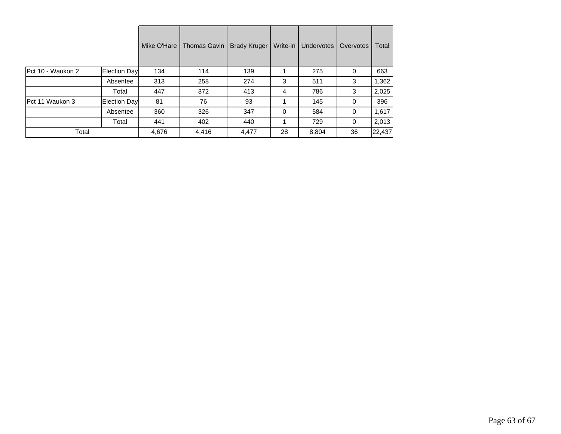|                   |               | Mike O'Hare | <b>Thomas Gavin</b> | <b>Brady Kruger</b> | Write-in | <b>Undervotes</b> | Overvotes | Total  |
|-------------------|---------------|-------------|---------------------|---------------------|----------|-------------------|-----------|--------|
| Pct 10 - Waukon 2 | Election Day  | 134         | 114                 | 139                 |          | 275               | 0         | 663    |
|                   | Absentee      | 313         | 258                 | 274                 | 3        | 511               | 3         | 1,362  |
|                   | Total         | 447         | 372                 | 413                 | 4        | 786               | 3         | 2,025  |
| Pct 11 Waukon 3   | Election Dayl | 81          | 76                  | 93                  |          | 145               | 0         | 396    |
|                   | Absentee      | 360         | 326                 | 347                 | $\Omega$ | 584               | 0         | 1,617  |
|                   | Total         | 441         | 402                 | 440                 |          | 729               | 0         | 2,013  |
| Total             |               | 4,676       | 4,416               | 4,477               | 28       | 8,804             | 36        | 22,437 |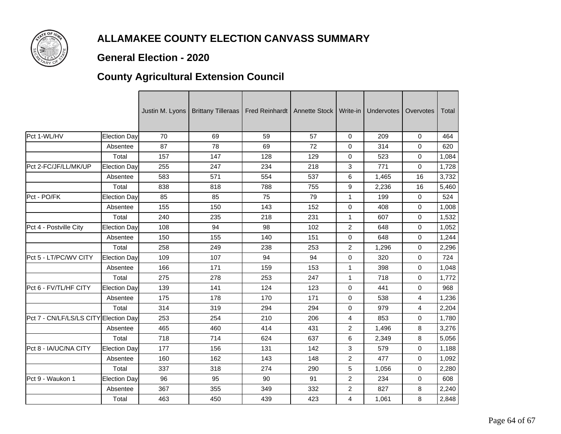

### **General Election - 2020**

## **County Agricultural Extension Council**

|                                       |              |     | Justin M. Lyons   Brittany Tilleraas | Fred Reinhardt   Annette Stock |     | Write-in       | Undervotes | Overvotes | Total |
|---------------------------------------|--------------|-----|--------------------------------------|--------------------------------|-----|----------------|------------|-----------|-------|
| Pct 1-WL/HV                           | Election Day | 70  | 69                                   | 59                             | 57  | $\mathbf 0$    | 209        | 0         | 464   |
|                                       | Absentee     | 87  | 78                                   | 69                             | 72  | 0              | 314        | 0         | 620   |
|                                       | Total        | 157 | 147                                  | 128                            | 129 | 0              | 523        | 0         | 1,084 |
| Pct 2-FC/JF/LL/MK/UP                  | Election Day | 255 | 247                                  | 234                            | 218 | 3              | 771        | 0         | 1,728 |
|                                       | Absentee     | 583 | 571                                  | 554                            | 537 | 6              | 1,465      | 16        | 3,732 |
|                                       | Total        | 838 | 818                                  | 788                            | 755 | 9              | 2,236      | 16        | 5,460 |
| Pct - PO/FK                           | Election Day | 85  | 85                                   | 75                             | 79  | 1              | 199        | 0         | 524   |
|                                       | Absentee     | 155 | 150                                  | 143                            | 152 | 0              | 408        | 0         | 1,008 |
|                                       | Total        | 240 | 235                                  | 218                            | 231 | $\mathbf{1}$   | 607        | 0         | 1,532 |
| Pct 4 - Postville City                | Election Day | 108 | 94                                   | 98                             | 102 | $\overline{2}$ | 648        | 0         | 1,052 |
|                                       | Absentee     | 150 | 155                                  | 140                            | 151 | 0              | 648        | 0         | 1,244 |
|                                       | Total        | 258 | 249                                  | 238                            | 253 | $\overline{c}$ | 1,296      | 0         | 2,296 |
| Pct 5 - LT/PC/WV CITY                 | Election Day | 109 | 107                                  | 94                             | 94  | 0              | 320        | 0         | 724   |
|                                       | Absentee     | 166 | 171                                  | 159                            | 153 | 1              | 398        | 0         | 1,048 |
|                                       | Total        | 275 | 278                                  | 253                            | 247 | $\mathbf{1}$   | 718        | 0         | 1,772 |
| Pct 6 - FV/TL/HF CITY                 | Election Day | 139 | 141                                  | 124                            | 123 | $\mathbf 0$    | 441        | 0         | 968   |
|                                       | Absentee     | 175 | 178                                  | 170                            | 171 | 0              | 538        | 4         | 1,236 |
|                                       | Total        | 314 | 319                                  | 294                            | 294 | 0              | 979        | 4         | 2,204 |
| Pct 7 - CN/LF/LS/LS CITY Election Day |              | 253 | 254                                  | 210                            | 206 | 4              | 853        | 0         | 1,780 |
|                                       | Absentee     | 465 | 460                                  | 414                            | 431 | $\overline{2}$ | 1,496      | 8         | 3,276 |
|                                       | Total        | 718 | 714                                  | 624                            | 637 | 6              | 2,349      | 8         | 5,056 |
| Pct 8 - IA/UC/NA CITY                 | Election Day | 177 | 156                                  | 131                            | 142 | 3              | 579        | 0         | 1,188 |
|                                       | Absentee     | 160 | 162                                  | 143                            | 148 | $\overline{c}$ | 477        | 0         | 1,092 |
|                                       | Total        | 337 | 318                                  | 274                            | 290 | 5              | 1,056      | 0         | 2,280 |
| Pct 9 - Waukon 1                      | Election Day | 96  | 95                                   | 90                             | 91  | $\overline{2}$ | 234        | 0         | 608   |
|                                       | Absentee     | 367 | 355                                  | 349                            | 332 | $\overline{2}$ | 827        | 8         | 2,240 |
|                                       | Total        | 463 | 450                                  | 439                            | 423 | 4              | 1,061      | 8         | 2,848 |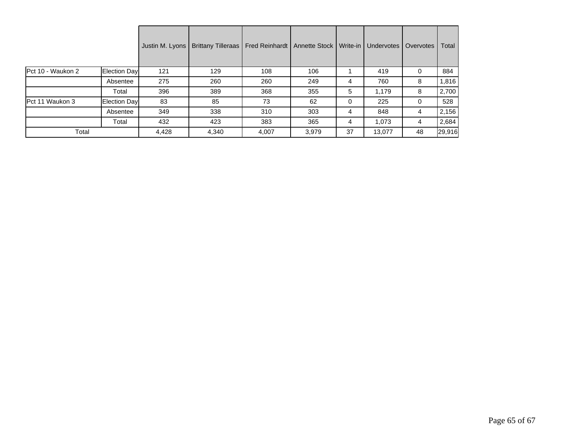|                   |              | Justin M. Lyons | Brittany Tilleraas   Fred Reinhardt   Annette Stock   Write-in |       |       |    | Undervotes | Overvotes | Total  |
|-------------------|--------------|-----------------|----------------------------------------------------------------|-------|-------|----|------------|-----------|--------|
| Pct 10 - Waukon 2 | Election Day | 121             | 129                                                            | 108   | 106   |    | 419        | 0         | 884    |
|                   | Absentee     | 275             | 260                                                            | 260   | 249   | 4  | 760        | 8         | 1,816  |
|                   | Total        | 396             | 389                                                            | 368   | 355   | 5  | 1,179      | 8         | 2,700  |
| IPct 11 Waukon 3  | Election Day | 83              | 85                                                             | 73    | 62    | 0  | 225        | 0         | 528    |
|                   | Absentee     | 349             | 338                                                            | 310   | 303   | 4  | 848        | 4         | 2,156  |
|                   | Total        | 432             | 423                                                            | 383   | 365   | 4  | 1,073      | 4         | 2,684  |
| Total             |              | 4,428           | 4,340                                                          | 4,007 | 3,979 | 37 | 13,077     | 48        | 29,916 |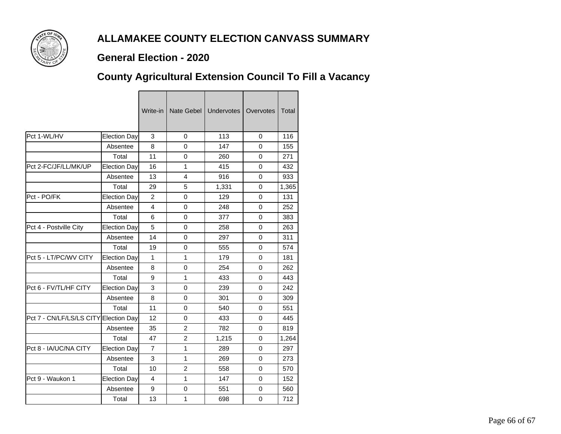

#### **General Election - 2020**

## **County Agricultural Extension Council To Fill a Vacancy**

|                          |                     | Write-in       | Nate Gebel     | <b>Undervotes</b> | Overvotes | <b>Total</b> |
|--------------------------|---------------------|----------------|----------------|-------------------|-----------|--------------|
| Pct 1-WL/HV              | Election Day        | 3              | 0              | 113               | 0         | 116          |
|                          | Absentee            | 8              | $\Omega$       | 147               | $\Omega$  | 155          |
|                          | Total               | 11             | 0              | 260               | 0         | 271          |
| Pct 2-FC/JF/LL/MK/UP     | Election Day        | 16             | $\mathbf{1}$   | 415               | 0         | 432          |
|                          | Absentee            | 13             | $\overline{4}$ | 916               | $\Omega$  | 933          |
|                          | Total               | 29             | 5              | 1,331             | 0         | 1,365        |
| Pct - PO/FK              | <b>Election Day</b> | $\overline{2}$ | $\overline{0}$ | 129               | $\Omega$  | 131          |
|                          | Absentee            | 4              | 0              | 248               | $\Omega$  | 252          |
|                          | Total               | 6              | $\Omega$       | 377               | $\Omega$  | 383          |
| Pct 4 - Postville City   | <b>Election Day</b> | 5              | 0              | 258               | 0         | 263          |
|                          | Absentee            | 14             | $\overline{0}$ | 297               | $\Omega$  | 311          |
|                          | Total               | 19             | $\Omega$       | 555               | $\Omega$  | 574          |
| Pct 5 - LT/PC/WV CITY    | Election Day        | 1              | $\mathbf{1}$   | 179               | $\Omega$  | 181          |
|                          | Absentee            | 8              | $\overline{0}$ | 254               | $\Omega$  | 262          |
|                          | Total               | 9              | 1              | 433               | 0         | 443          |
| Pct 6 - FV/TL/HF CITY    | Election Day        | 3              | $\overline{0}$ | 239               | $\Omega$  | 242          |
|                          | Absentee            | 8              | $\Omega$       | 301               | $\Omega$  | 309          |
|                          | Total               | 11             | $\Omega$       | 540               | 0         | 551          |
| Pct 7 - CN/LF/LS/LS CITY | Election Day        | 12             | $\overline{0}$ | 433               | $\Omega$  | 445          |
|                          | Absentee            | 35             | 2              | 782               | 0         | 819          |
|                          | Total               | 47             | $\overline{2}$ | 1,215             | $\Omega$  | 1,264        |
| Pct 8 - IA/UC/NA CITY    | Election Day        | $\overline{7}$ | $\mathbf{1}$   | 289               | $\Omega$  | 297          |
|                          | Absentee            | 3              | 1              | 269               | $\Omega$  | 273          |
|                          | Total               | 10             | $\overline{2}$ | 558               | $\Omega$  | 570          |
| Pct 9 - Waukon 1         | <b>Election Day</b> | $\overline{4}$ | $\mathbf{1}$   | 147               | 0         | 152          |
|                          | Absentee            | 9              | $\Omega$       | 551               | $\Omega$  | 560          |
|                          | Total               | 13             | $\mathbf{1}$   | 698               | 0         | 712          |